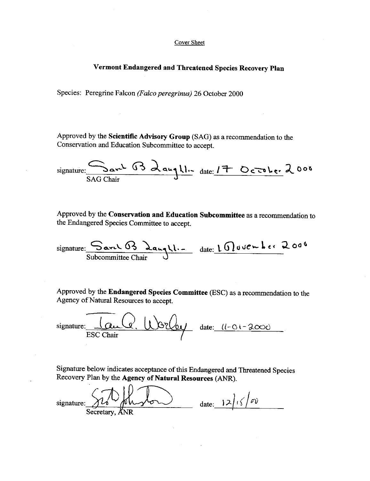#### Cover Sheet

#### Vermont Endangered and Threatened Species Recovery Plan

Species: Peregrine Falcon (Falco peregrinus) 26 October 2000

 

 

Approved by the Scientific Advisory Group (SAG) as a recommendation to the Conservation and Education Subcommittee to accept.

Species: Peregrine Falcon *(Falco pereg*)<br>Approved by the **Scientific Advisory C**<br>Conservation and Education Subcommi<br>signature: Say 2 av SAG Chair<br>Approved by the Conservation and Education Changered Species Committee to  $ar^2$  (13 daught date:  $17$  October 2008 SAG Chair

Approved by the Conservation and Education Subcommittee as a recommendation to the Endangered Species Committee to accept.

 $signature:$   $S$ arch  $\Omega$   $\lambda$ anghl. Sarel B Langll. - date: 1 Movember 200

Approved by the Endangered Species Committee (ESC) as a recommendation to the Agency of Natural Resources to accept.

 $\frac{1}{2000}$   $\frac{1}{2000}$   $\frac{1}{2000}$   $\frac{1}{2000}$  date:  $\frac{l}{2000}$ ESC Chair

Signature below indicates acceptance of this Endangered and Threatened Species Recovery Plan by the Agency of Natural Resources (ANR).

 $\begin{array}{r} \hline \text{signature:} & \text{Q.} & \text{Q.} \\ \hline \text{ESC Chair} & \text{ESC Chair} \\ \hline \text{Signature below indicates acceptance of} \\ \text{Recovery Plan by the Agency of Natur} \\ \hline \text{Sercetary, ANN} \\ \hline \end{array}$ Secretary,  $d$ date:  $12/15/100$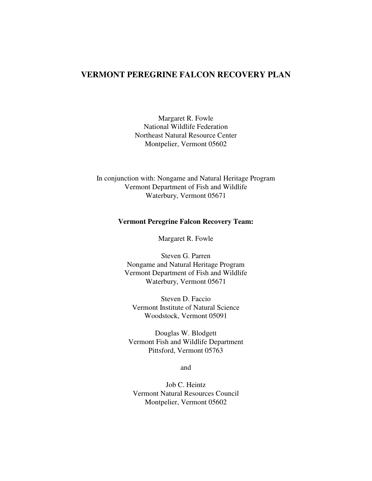## **VERMONT PEREGRINE FALCON RECOVERY PLAN**

Margaret R. Fowle National Wildlife Federation Northeast Natural Resource Center Montpelier, Vermont 05602

In conjunction with: Nongame and Natural Heritage Program Vermont Department of Fish and Wildlife Waterbury, Vermont 05671

#### **Vermont Peregrine Falcon Recovery Team:**

Margaret R. Fowle

Steven G. Parren Nongame and Natural Heritage Program Vermont Department of Fish and Wildlife Waterbury, Vermont 05671

Steven D. Faccio Vermont Institute of Natural Science Woodstock, Vermont 05091

Douglas W. Blodgett Vermont Fish and Wildlife Department Pittsford, Vermont 05763

and

Job C. Heintz Vermont Natural Resources Council Montpelier, Vermont 05602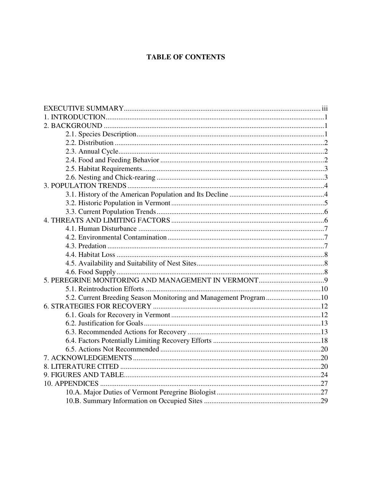# **TABLE OF CONTENTS**

| 5.2. Current Breeding Season Monitoring and Management Program 10 |  |
|-------------------------------------------------------------------|--|
|                                                                   |  |
|                                                                   |  |
|                                                                   |  |
|                                                                   |  |
|                                                                   |  |
|                                                                   |  |
|                                                                   |  |
|                                                                   |  |
|                                                                   |  |
|                                                                   |  |
|                                                                   |  |
|                                                                   |  |
|                                                                   |  |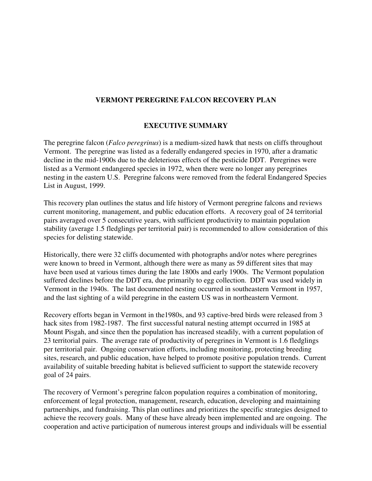## **VERMONT PEREGRINE FALCON RECOVERY PLAN**

### **EXECUTIVE SUMMARY**

The peregrine falcon (*Falco peregrinus*) is a medium-sized hawk that nests on cliffs throughout Vermont. The peregrine was listed as a federally endangered species in 1970, after a dramatic decline in the mid-1900s due to the deleterious effects of the pesticide DDT. Peregrines were listed as a Vermont endangered species in 1972, when there were no longer any peregrines nesting in the eastern U.S. Peregrine falcons were removed from the federal Endangered Species List in August, 1999.

This recovery plan outlines the status and life history of Vermont peregrine falcons and reviews current monitoring, management, and public education efforts. A recovery goal of 24 territorial pairs averaged over 5 consecutive years, with sufficient productivity to maintain population stability (average 1.5 fledglings per territorial pair) is recommended to allow consideration of this species for delisting statewide.

Historically, there were 32 cliffs documented with photographs and/or notes where peregrines were known to breed in Vermont, although there were as many as 59 different sites that may have been used at various times during the late 1800s and early 1900s. The Vermont population suffered declines before the DDT era, due primarily to egg collection. DDT was used widely in Vermont in the 1940s. The last documented nesting occurred in southeastern Vermont in 1957, and the last sighting of a wild peregrine in the eastern US was in northeastern Vermont.

Recovery efforts began in Vermont in the1980s, and 93 captive-bred birds were released from 3 hack sites from 1982-1987. The first successful natural nesting attempt occurred in 1985 at Mount Pisgah, and since then the population has increased steadily, with a current population of 23 territorial pairs. The average rate of productivity of peregrines in Vermont is 1.6 fledglings per territorial pair. Ongoing conservation efforts, including monitoring, protecting breeding sites, research, and public education, have helped to promote positive population trends. Current availability of suitable breeding habitat is believed sufficient to support the statewide recovery goal of 24 pairs.

The recovery of Vermont's peregrine falcon population requires a combination of monitoring, enforcement of legal protection, management, research, education, developing and maintaining partnerships, and fundraising. This plan outlines and prioritizes the specific strategies designed to achieve the recovery goals. Many of these have already been implemented and are ongoing. The cooperation and active participation of numerous interest groups and individuals will be essential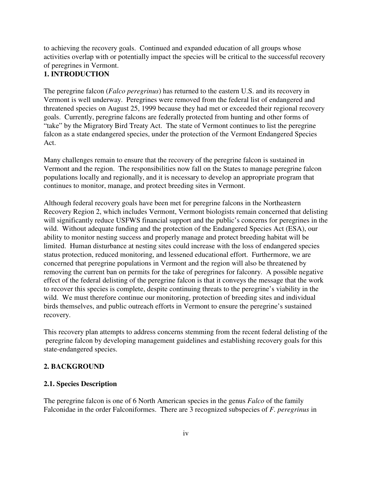to achieving the recovery goals.Continued and expanded education of all groups whose activities overlap with or potentially impact the species will be critical to the successful recovery of peregrines in Vermont.

# **1. INTRODUCTION**

The peregrine falcon (*Falco peregrinus*) has returned to the eastern U.S. and its recovery in Vermont is well underway. Peregrines were removed from the federal list of endangered and threatened species on August 25, 1999 because they had met or exceeded their regional recovery goals. Currently, peregrine falcons are federally protected from hunting and other forms of "take" by the Migratory Bird Treaty Act. The state of Vermont continues to list the peregrine falcon as a state endangered species, under the protection of the Vermont Endangered Species Act.

Many challenges remain to ensure that the recovery of the peregrine falcon is sustained in Vermont and the region. The responsibilities now fall on the States to manage peregrine falcon populations locally and regionally, and it is necessary to develop an appropriate program that continues to monitor, manage, and protect breeding sites in Vermont.

Although federal recovery goals have been met for peregrine falcons in the Northeastern Recovery Region 2, which includes Vermont, Vermont biologists remain concerned that delisting will significantly reduce USFWS financial support and the public's concerns for peregrines in the wild. Without adequate funding and the protection of the Endangered Species Act (ESA), our ability to monitor nesting success and properly manage and protect breeding habitat will be limited. Human disturbance at nesting sites could increase with the loss of endangered species status protection, reduced monitoring, and lessened educational effort. Furthermore, we are concerned that peregrine populations in Vermont and the region will also be threatened by removing the current ban on permits for the take of peregrines for falconry. A possible negative effect of the federal delisting of the peregrine falcon is that it conveys the message that the work to recover this species is complete, despite continuing threats to the peregrine's viability in the wild. We must therefore continue our monitoring, protection of breeding sites and individual birds themselves, and public outreach efforts in Vermont to ensure the peregrine's sustained recovery.

This recovery plan attempts to address concerns stemming from the recent federal delisting of the peregrine falcon by developing management guidelines and establishing recovery goals for this state-endangered species.

### **2. BACKGROUND**

### **2.1. Species Description**

The peregrine falcon is one of 6 North American species in the genus *Falco* of the family Falconidae in the order Falconiformes. There are 3 recognized subspecies of *F. peregrinus* in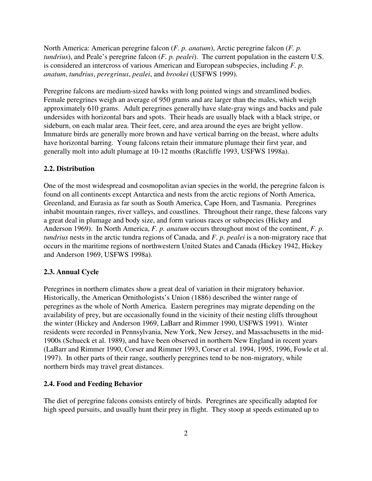North America: American peregrine falcon (*F. p. anatum*), Arctic peregrine falcon (*F. p. tundrius*), and Peale's peregrine falcon (*F. p. pealei*). The current population in the eastern U.S. is considered an intercross of various American and European subspecies, including *F. p. anatum*, *tundrius*, *peregrinus*, *pealei*, and *brookei* (USFWS 1999).

Peregrine falcons are medium-sized hawks with long pointed wings and streamlined bodies. Female peregrines weigh an average of 950 grams and are larger than the males, which weigh approximately 610 grams. Adult peregrines generally have slate-gray wings and backs and pale undersides with horizontal bars and spots. Their heads are usually black with a black stripe, or sideburn, on each malar area. Their feet, cere, and area around the eyes are bright yellow. Immature birds are generally more brown and have vertical barring on the breast, where adults have horizontal barring. Young falcons retain their immature plumage their first year, and generally molt into adult plumage at 10-12 months (Ratcliffe 1993, USFWS 1998a).

#### **2.2. Distribution**

One of the most widespread and cosmopolitan avian species in the world, the peregrine falcon is found on all continents except Antarctica and nests from the arctic regions of North America, Greenland, and Eurasia as far south as South America, Cape Horn, and Tasmania. Peregrines inhabit mountain ranges, river valleys, and coastlines. Throughout their range, these falcons vary a great deal in plumage and body size, and form various races or subspecies (Hickey and Anderson 1969). In North America, *F. p. anatum* occurs throughout most of the continent, *F. p. tundrius* nests in the arctic tundra regions of Canada, and *F. p. pealei* is a non-migratory race that occurs in the maritime regions of northwestern United States and Canada (Hickey 1942, Hickey and Anderson 1969, USFWS 1998a).

#### **2.3. Annual Cycle**

Peregrines in northern climates show a great deal of variation in their migratory behavior. Historically, the American Ornithologists's Union (1886) described the winter range of peregrines as the whole of North America. Eastern peregrines may migrate depending on the availability of prey, but are occasionally found in the vicinity of their nesting cliffs throughout the winter (Hickey and Anderson 1969, LaBarr and Rimmer 1990, USFWS 1991). Winter residents were recorded in Pennsylvania, New York, New Jersey, and Massachusetts in the mid-1900s (Schueck et al. 1989), and have been observed in northern New England in recent years (LaBarr and Rimmer 1990, Corser and Rimmer 1993, Corser et al. 1994, 1995, 1996, Fowle et al. 1997). In other parts of their range, southerly peregrines tend to be non-migratory, while northern birds may travel great distances.

#### **2.4. Food and Feeding Behavior**

The diet of peregrine falcons consists entirely of birds. Peregrines are specifically adapted for high speed pursuits, and usually hunt their prey in flight. They stoop at speeds estimated up to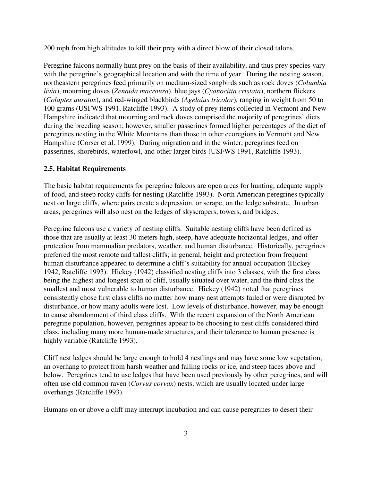200 mph from high altitudes to kill their prey with a direct blow of their closed talons.

Peregrine falcons normally hunt prey on the basis of their availability, and thus prey species vary with the peregrine's geographical location and with the time of year. During the nesting season, northeastern peregrines feed primarily on medium-sized songbirds such as rock doves (*Columbia livia*), mourning doves (*Zenaida macroura*), blue jays (*Cyanocitta cristata*), northern flickers (*Colaptes auratus*), and red-winged blackbirds (*Agelaius tricolor*), ranging in weight from 50 to 100 grams (USFWS 1991, Ratcliffe 1993). A study of prey items collected in Vermont and New Hampshire indicated that mourning and rock doves comprised the majority of peregrines' diets during the breeding season; however, smaller passerines formed higher percentages of the diet of peregrines nesting in the White Mountains than those in other ecoregions in Vermont and New Hampshire (Corser et al. 1999). During migration and in the winter, peregrines feed on passerines, shorebirds, waterfowl, and other larger birds (USFWS 1991, Ratcliffe 1993).

### **2.5. Habitat Requirements**

The basic habitat requirements for peregrine falcons are open areas for hunting, adequate supply of food, and steep rocky cliffs for nesting (Ratcliffe 1993). North American peregrines typically nest on large cliffs, where pairs create a depression, or scrape, on the ledge substrate. In urban areas, peregrines will also nest on the ledges of skyscrapers, towers, and bridges.

Peregrine falcons use a variety of nesting cliffs. Suitable nesting cliffs have been defined as those that are usually at least 30 meters high, steep, have adequate horizontal ledges, and offer protection from mammalian predators, weather, and human disturbance. Historically, peregrines preferred the most remote and tallest cliffs; in general, height and protection from frequent human disturbance appeared to determine a cliff's suitability for annual occupation (Hickey 1942, Ratcliffe 1993). Hickey (1942) classified nesting cliffs into 3 classes, with the first class being the highest and longest span of cliff, usually situated over water, and the third class the smallest and most vulnerable to human disturbance. Hickey (1942) noted that peregrines consistently chose first class cliffs no matter how many nest attempts failed or were disrupted by disturbance, or how many adults were lost. Low levels of disturbance, however, may be enough to cause abandonment of third class cliffs. With the recent expansion of the North American peregrine population, however, peregrines appear to be choosing to nest cliffs considered third class, including many more human-made structures, and their tolerance to human presence is highly variable (Ratcliffe 1993).

Cliff nest ledges should be large enough to hold 4 nestlings and may have some low vegetation, an overhang to protect from harsh weather and falling rocks or ice, and steep faces above and below. Peregrines tend to use ledges that have been used previously by other peregrines, and will often use old common raven (*Corvus corvax*) nests, which are usually located under large overhangs (Ratcliffe 1993).

Humans on or above a cliff may interrupt incubation and can cause peregrines to desert their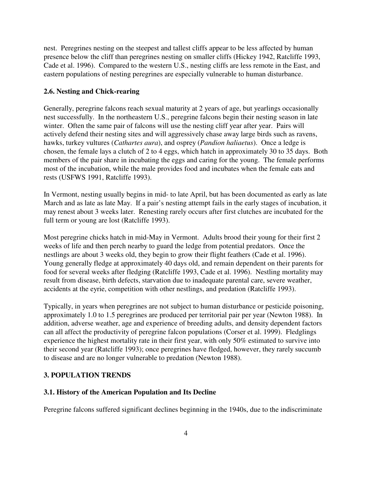nest. Peregrines nesting on the steepest and tallest cliffs appear to be less affected by human presence below the cliff than peregrines nesting on smaller cliffs (Hickey 1942, Ratcliffe 1993, Cade et al. 1996). Compared to the western U.S., nesting cliffs are less remote in the East, and eastern populations of nesting peregrines are especially vulnerable to human disturbance.

#### **2.6. Nesting and Chick-rearing**

Generally, peregrine falcons reach sexual maturity at 2 years of age, but yearlings occasionally nest successfully. In the northeastern U.S., peregrine falcons begin their nesting season in late winter. Often the same pair of falcons will use the nesting cliff year after year. Pairs will actively defend their nesting sites and will aggressively chase away large birds such as ravens, hawks, turkey vultures (*Cathartes aura*), and osprey (*Pandion haliaetus*). Once a ledge is chosen, the female lays a clutch of 2 to 4 eggs, which hatch in approximately 30 to 35 days. Both members of the pair share in incubating the eggs and caring for the young. The female performs most of the incubation, while the male provides food and incubates when the female eats and rests (USFWS 1991, Ratcliffe 1993).

In Vermont, nesting usually begins in mid- to late April, but has been documented as early as late March and as late as late May. If a pair's nesting attempt fails in the early stages of incubation, it may renest about 3 weeks later. Renesting rarely occurs after first clutches are incubated for the full term or young are lost (Ratcliffe 1993).

Most peregrine chicks hatch in mid-May in Vermont. Adults brood their young for their first 2 weeks of life and then perch nearby to guard the ledge from potential predators. Once the nestlings are about 3 weeks old, they begin to grow their flight feathers (Cade et al. 1996). Young generally fledge at approximately 40 days old, and remain dependent on their parents for food for several weeks after fledging (Ratcliffe 1993, Cade et al. 1996). Nestling mortality may result from disease, birth defects, starvation due to inadequate parental care, severe weather, accidents at the eyrie, competition with other nestlings, and predation (Ratcliffe 1993).

Typically, in years when peregrines are not subject to human disturbance or pesticide poisoning, approximately 1.0 to 1.5 peregrines are produced per territorial pair per year (Newton 1988). In addition, adverse weather, age and experience of breeding adults, and density dependent factors can all affect the productivity of peregrine falcon populations (Corser et al. 1999). Fledglings experience the highest mortality rate in their first year, with only 50% estimated to survive into their second year (Ratcliffe 1993); once peregrines have fledged, however, they rarely succumb to disease and are no longer vulnerable to predation (Newton 1988).

### **3. POPULATION TRENDS**

#### **3.1. History of the American Population and Its Decline**

Peregrine falcons suffered significant declines beginning in the 1940s, due to the indiscriminate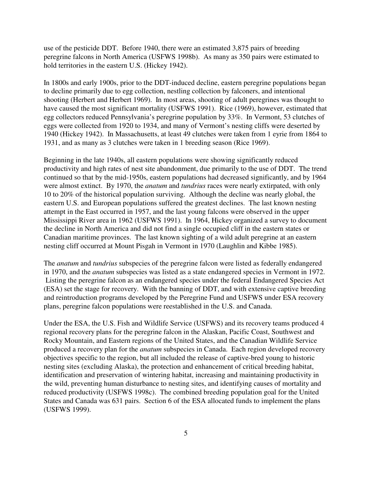use of the pesticide DDT. Before 1940, there were an estimated 3,875 pairs of breeding peregrine falcons in North America (USFWS 1998b). As many as 350 pairs were estimated to hold territories in the eastern U.S. (Hickey 1942).

In 1800s and early 1900s, prior to the DDT-induced decline, eastern peregrine populations began to decline primarily due to egg collection, nestling collection by falconers, and intentional shooting (Herbert and Herbert 1969). In most areas, shooting of adult peregrines was thought to have caused the most significant mortality (USFWS 1991). Rice (1969), however, estimated that egg collectors reduced Pennsylvania's peregrine population by 33%. In Vermont, 53 clutches of eggs were collected from 1920 to 1934, and many of Vermont's nesting cliffs were deserted by 1940 (Hickey 1942). In Massachusetts, at least 49 clutches were taken from 1 eyrie from 1864 to 1931, and as many as 3 clutches were taken in 1 breeding season (Rice 1969).

Beginning in the late 1940s, all eastern populations were showing significantly reduced productivity and high rates of nest site abandonment, due primarily to the use of DDT. The trend continued so that by the mid-1950s, eastern populations had decreased significantly, and by 1964 were almost extinct. By 1970, the *anatum* and *tundrius* races were nearly extirpated, with only 10 to 20% of the historical population surviving. Although the decline was nearly global, the eastern U.S. and European populations suffered the greatest declines. The last known nesting attempt in the East occurred in 1957, and the last young falcons were observed in the upper Mississippi River area in 1962 (USFWS 1991). In 1964, Hickey organized a survey to document the decline in North America and did not find a single occupied cliff in the eastern states or Canadian maritime provinces. The last known sighting of a wild adult peregrine at an eastern nesting cliff occurred at Mount Pisgah in Vermont in 1970 (Laughlin and Kibbe 1985).

The *anatum* and *tundrius* subspecies of the peregrine falcon were listed as federally endangered in 1970, and the *anatum* subspecies was listed as a state endangered species in Vermont in 1972. Listing the peregrine falcon as an endangered species under the federal Endangered Species Act (ESA) set the stage for recovery. With the banning of DDT, and with extensive captive breeding and reintroduction programs developed by the Peregrine Fund and USFWS under ESA recovery plans, peregrine falcon populations were reestablished in the U.S. and Canada.

Under the ESA, the U.S. Fish and Wildlife Service (USFWS) and its recovery teams produced 4 regional recovery plans for the peregrine falcon in the Alaskan, Pacific Coast, Southwest and Rocky Mountain, and Eastern regions of the United States, and the Canadian Wildlife Service produced a recovery plan for the *anatum* subspecies in Canada. Each region developed recovery objectives specific to the region, but all included the release of captive-bred young to historic nesting sites (excluding Alaska), the protection and enhancement of critical breeding habitat, identification and preservation of wintering habitat, increasing and maintaining productivity in the wild, preventing human disturbance to nesting sites, and identifying causes of mortality and reduced productivity (USFWS 1998c). The combined breeding population goal for the United States and Canada was 631 pairs. Section 6 of the ESA allocated funds to implement the plans (USFWS 1999).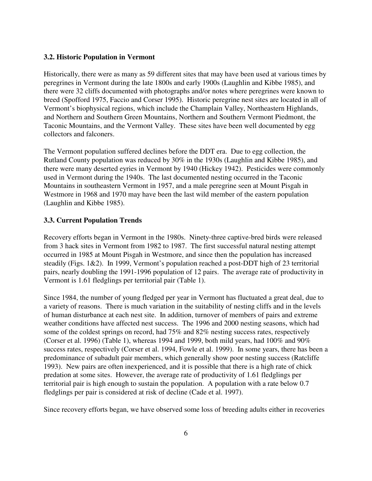#### **3.2. Historic Population in Vermont**

Historically, there were as many as 59 different sites that may have been used at various times by peregrines in Vermont during the late 1800s and early 1900s (Laughlin and Kibbe 1985), and there were 32 cliffs documented with photographs and/or notes where peregrines were known to breed (Spofford 1975, Faccio and Corser 1995). Historic peregrine nest sites are located in all of Vermont's biophysical regions, which include the Champlain Valley, Northeastern Highlands, and Northern and Southern Green Mountains, Northern and Southern Vermont Piedmont, the Taconic Mountains, and the Vermont Valley. These sites have been well documented by egg collectors and falconers.

The Vermont population suffered declines before the DDT era. Due to egg collection, the Rutland County population was reduced by 30% in the 1930s (Laughlin and Kibbe 1985), and there were many deserted eyries in Vermont by 1940 (Hickey 1942). Pesticides were commonly used in Vermont during the 1940s. The last documented nesting occurred in the Taconic Mountains in southeastern Vermont in 1957, and a male peregrine seen at Mount Pisgah in Westmore in 1968 and 1970 may have been the last wild member of the eastern population (Laughlin and Kibbe 1985).

#### **3.3. Current Population Trends**

Recovery efforts began in Vermont in the 1980s. Ninety-three captive-bred birds were released from 3 hack sites in Vermont from 1982 to 1987. The first successful natural nesting attempt occurred in 1985 at Mount Pisgah in Westmore, and since then the population has increased steadily (Figs. 1&2). In 1999, Vermont's population reached a post-DDT high of 23 territorial pairs, nearly doubling the 1991-1996 population of 12 pairs. The average rate of productivity in Vermont is 1.61 fledglings per territorial pair (Table 1).

Since 1984, the number of young fledged per year in Vermont has fluctuated a great deal, due to a variety of reasons. There is much variation in the suitability of nesting cliffs and in the levels of human disturbance at each nest site. In addition, turnover of members of pairs and extreme weather conditions have affected nest success. The 1996 and 2000 nesting seasons, which had some of the coldest springs on record, had 75% and 82% nesting success rates, respectively (Corser et al. 1996) (Table 1), whereas 1994 and 1999, both mild years, had 100% and 90% success rates, respectively (Corser et al. 1994, Fowle et al. 1999). In some years, there has been a predominance of subadult pair members, which generally show poor nesting success (Ratcliffe 1993). New pairs are often inexperienced, and it is possible that there is a high rate of chick predation at some sites. However, the average rate of productivity of 1.61 fledglings per territorial pair is high enough to sustain the population. A population with a rate below 0.7 fledglings per pair is considered at risk of decline (Cade et al. 1997).

Since recovery efforts began, we have observed some loss of breeding adults either in recoveries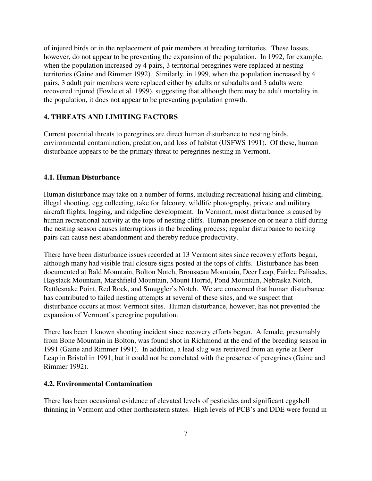of injured birds or in the replacement of pair members at breeding territories. These losses, however, do not appear to be preventing the expansion of the population. In 1992, for example, when the population increased by 4 pairs, 3 territorial peregrines were replaced at nesting territories (Gaine and Rimmer 1992). Similarly, in 1999, when the population increased by 4 pairs, 3 adult pair members were replaced either by adults or subadults and 3 adults were recovered injured (Fowle et al. 1999), suggesting that although there may be adult mortality in the population, it does not appear to be preventing population growth.

#### **4. THREATS AND LIMITING FACTORS**

Current potential threats to peregrines are direct human disturbance to nesting birds, environmental contamination, predation, and loss of habitat (USFWS 1991). Of these, human disturbance appears to be the primary threat to peregrines nesting in Vermont.

#### **4.1. Human Disturbance**

Human disturbance may take on a number of forms, including recreational hiking and climbing, illegal shooting, egg collecting, take for falconry, wildlife photography, private and military aircraft flights, logging, and ridgeline development. In Vermont, most disturbance is caused by human recreational activity at the tops of nesting cliffs. Human presence on or near a cliff during the nesting season causes interruptions in the breeding process; regular disturbance to nesting pairs can cause nest abandonment and thereby reduce productivity.

There have been disturbance issues recorded at 13 Vermont sites since recovery efforts began, although many had visible trail closure signs posted at the tops of cliffs. Disturbance has been documented at Bald Mountain, Bolton Notch, Brousseau Mountain, Deer Leap, Fairlee Palisades, Haystack Mountain, Marshfield Mountain, Mount Horrid, Pond Mountain, Nebraska Notch, Rattlesnake Point, Red Rock, and Smuggler's Notch. We are concerned that human disturbance has contributed to failed nesting attempts at several of these sites, and we suspect that disturbance occurs at most Vermont sites. Human disturbance, however, has not prevented the expansion of Vermont's peregrine population.

There has been 1 known shooting incident since recovery efforts began. A female, presumably from Bone Mountain in Bolton, was found shot in Richmond at the end of the breeding season in 1991 (Gaine and Rimmer 1991). In addition, a lead slug was retrieved from an eyrie at Deer Leap in Bristol in 1991, but it could not be correlated with the presence of peregrines (Gaine and Rimmer 1992).

#### **4.2. Environmental Contamination**

There has been occasional evidence of elevated levels of pesticides and significant eggshell thinning in Vermont and other northeastern states. High levels of PCB's and DDE were found in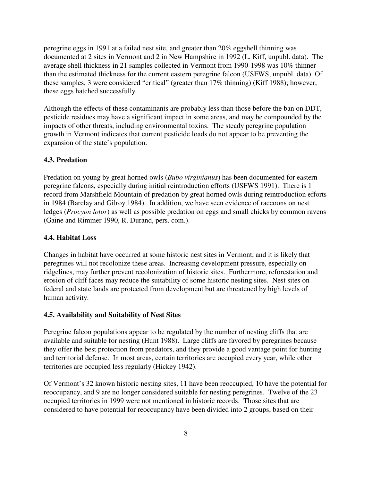peregrine eggs in 1991 at a failed nest site, and greater than 20% eggshell thinning was documented at 2 sites in Vermont and 2 in New Hampshire in 1992 (L. Kiff, unpubl. data). The average shell thickness in 21 samples collected in Vermont from 1990-1998 was 10% thinner than the estimated thickness for the current eastern peregrine falcon (USFWS, unpubl. data). Of these samples, 3 were considered "critical" (greater than 17% thinning) (Kiff 1988); however, these eggs hatched successfully.

Although the effects of these contaminants are probably less than those before the ban on DDT, pesticide residues may have a significant impact in some areas, and may be compounded by the impacts of other threats, including environmental toxins. The steady peregrine population growth in Vermont indicates that current pesticide loads do not appear to be preventing the expansion of the state's population.

#### **4.3. Predation**

Predation on young by great horned owls (*Bubo virginianus*) has been documented for eastern peregrine falcons, especially during initial reintroduction efforts (USFWS 1991). There is 1 record from Marshfield Mountain of predation by great horned owls during reintroduction efforts in 1984 (Barclay and Gilroy 1984). In addition, we have seen evidence of raccoons on nest ledges (*Procyon lotor*) as well as possible predation on eggs and small chicks by common ravens (Gaine and Rimmer 1990, R. Durand, pers. com.).

#### **4.4. Habitat Loss**

Changes in habitat have occurred at some historic nest sites in Vermont, and it is likely that peregrines will not recolonize these areas. Increasing development pressure, especially on ridgelines, may further prevent recolonization of historic sites. Furthermore, reforestation and erosion of cliff faces may reduce the suitability of some historic nesting sites. Nest sites on federal and state lands are protected from development but are threatened by high levels of human activity.

#### **4.5. Availability and Suitability of Nest Sites**

Peregrine falcon populations appear to be regulated by the number of nesting cliffs that are available and suitable for nesting (Hunt 1988). Large cliffs are favored by peregrines because they offer the best protection from predators, and they provide a good vantage point for hunting and territorial defense. In most areas, certain territories are occupied every year, while other territories are occupied less regularly (Hickey 1942).

Of Vermont's 32 known historic nesting sites, 11 have been reoccupied, 10 have the potential for reoccupancy, and 9 are no longer considered suitable for nesting peregrines. Twelve of the 23 occupied territories in 1999 were not mentioned in historic records. Those sites that are considered to have potential for reoccupancy have been divided into 2 groups, based on their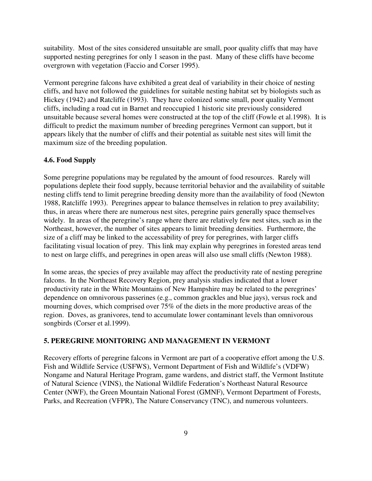suitability. Most of the sites considered unsuitable are small, poor quality cliffs that may have supported nesting peregrines for only 1 season in the past. Many of these cliffs have become overgrown with vegetation (Faccio and Corser 1995).

Vermont peregrine falcons have exhibited a great deal of variability in their choice of nesting cliffs, and have not followed the guidelines for suitable nesting habitat set by biologists such as Hickey (1942) and Ratcliffe (1993). They have colonized some small, poor quality Vermont cliffs, including a road cut in Barnet and reoccupied 1 historic site previously considered unsuitable because several homes were constructed at the top of the cliff (Fowle et al.1998). It is difficult to predict the maximum number of breeding peregrines Vermont can support, but it appears likely that the number of cliffs and their potential as suitable nest sites will limit the maximum size of the breeding population.

#### **4.6. Food Supply**

Some peregrine populations may be regulated by the amount of food resources. Rarely will populations deplete their food supply, because territorial behavior and the availability of suitable nesting cliffs tend to limit peregrine breeding density more than the availability of food (Newton 1988, Ratcliffe 1993). Peregrines appear to balance themselves in relation to prey availability; thus, in areas where there are numerous nest sites, peregrine pairs generally space themselves widely. In areas of the peregrine's range where there are relatively few nest sites, such as in the Northeast, however, the number of sites appears to limit breeding densities. Furthermore, the size of a cliff may be linked to the accessability of prey for peregrines, with larger cliffs facilitating visual location of prey. This link may explain why peregrines in forested areas tend to nest on large cliffs, and peregrines in open areas will also use small cliffs (Newton 1988).

In some areas, the species of prey available may affect the productivity rate of nesting peregrine falcons. In the Northeast Recovery Region, prey analysis studies indicated that a lower productivity rate in the White Mountains of New Hampshire may be related to the peregrines' dependence on omnivorous passerines (e.g., common grackles and blue jays), versus rock and mourning doves, which comprised over 75% of the diets in the more productive areas of the region. Doves, as granivores, tend to accumulate lower contaminant levels than omnivorous songbirds (Corser et al.1999).

### **5. PEREGRINE MONITORING AND MANAGEMENT IN VERMONT**

Recovery efforts of peregrine falcons in Vermont are part of a cooperative effort among the U.S. Fish and Wildlife Service (USFWS), Vermont Department of Fish and Wildlife's (VDFW) Nongame and Natural Heritage Program, game wardens, and district staff, the Vermont Institute of Natural Science (VINS), the National Wildlife Federation's Northeast Natural Resource Center (NWF), the Green Mountain National Forest (GMNF), Vermont Department of Forests, Parks, and Recreation (VFPR), The Nature Conservancy (TNC), and numerous volunteers.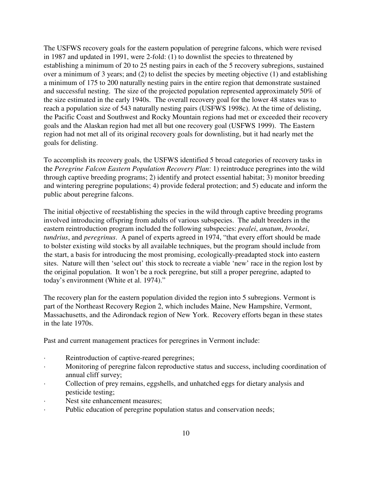The USFWS recovery goals for the eastern population of peregrine falcons, which were revised in 1987 and updated in 1991, were 2-fold: (1) to downlist the species to threatened by establishing a minimum of 20 to 25 nesting pairs in each of the 5 recovery subregions, sustained over a minimum of 3 years; and (2) to delist the species by meeting objective (1) and establishing a minimum of 175 to 200 naturally nesting pairs in the entire region that demonstrate sustained and successful nesting. The size of the projected population represented approximately 50% of the size estimated in the early 1940s. The overall recovery goal for the lower 48 states was to reach a population size of 543 naturally nesting pairs (USFWS 1998c). At the time of delisting, the Pacific Coast and Southwest and Rocky Mountain regions had met or exceeded their recovery goals and the Alaskan region had met all but one recovery goal (USFWS 1999). The Eastern region had not met all of its original recovery goals for downlisting, but it had nearly met the goals for delisting.

To accomplish its recovery goals, the USFWS identified 5 broad categories of recovery tasks in the *Peregrine Falcon Eastern Population Recovery Plan*: 1) reintroduce peregrines into the wild through captive breeding programs; 2) identify and protect essential habitat; 3) monitor breeding and wintering peregrine populations; 4) provide federal protection; and 5) educate and inform the public about peregrine falcons.

The initial objective of reestablishing the species in the wild through captive breeding programs involved introducing offspring from adults of various subspecies. The adult breeders in the eastern reintroduction program included the following subspecies: *pealei*, *anatum*, *brookei*, *tundrius*, and *peregrinus*. A panel of experts agreed in 1974, "that every effort should be made to bolster existing wild stocks by all available techniques, but the program should include from the start, a basis for introducing the most promising, ecologically-preadapted stock into eastern sites. Nature will then 'select out' this stock to recreate a viable 'new' race in the region lost by the original population. It won't be a rock peregrine, but still a proper peregrine, adapted to today's environment (White et al. 1974)."

The recovery plan for the eastern population divided the region into 5 subregions. Vermont is part of the Northeast Recovery Region 2, which includes Maine, New Hampshire, Vermont, Massachusetts, and the Adirondack region of New York. Recovery efforts began in these states in the late 1970s.

Past and current management practices for peregrines in Vermont include:

- Reintroduction of captive-reared peregrines;
- · Monitoring of peregrine falcon reproductive status and success, including coordination of annual cliff survey;
- Collection of prey remains, eggshells, and unhatched eggs for dietary analysis and pesticide testing;
- Nest site enhancement measures;
- Public education of peregrine population status and conservation needs;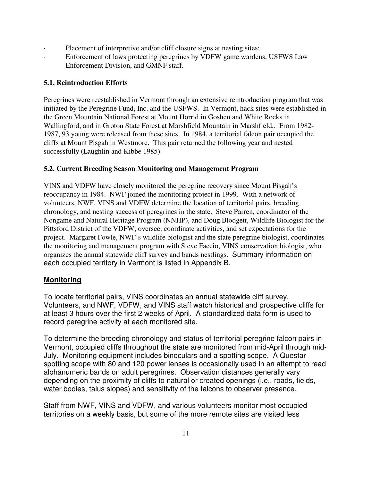- Placement of interpretive and/or cliff closure signs at nesting sites;
- Enforcement of laws protecting peregrines by VDFW game wardens, USFWS Law Enforcement Division, and GMNF staff.

## **5.1. Reintroduction Efforts**

Peregrines were reestablished in Vermont through an extensive reintroduction program that was initiated by the Peregrine Fund, Inc. and the USFWS. In Vermont, hack sites were established in the Green Mountain National Forest at Mount Horrid in Goshen and White Rocks in Wallingford, and in Groton State Forest at Marshfield Mountain in Marshfield,. From 1982- 1987, 93 young were released from these sites. In 1984, a territorial falcon pair occupied the cliffs at Mount Pisgah in Westmore. This pair returned the following year and nested successfully (Laughlin and Kibbe 1985).

## **5.2. Current Breeding Season Monitoring and Management Program**

VINS and VDFW have closely monitored the peregrine recovery since Mount Pisgah's reoccupancy in 1984. NWF joined the monitoring project in 1999. With a network of volunteers, NWF, VINS and VDFW determine the location of territorial pairs, breeding chronology, and nesting success of peregrines in the state. Steve Parren, coordinator of the Nongame and Natural Heritage Program (NNHP), and Doug Blodgett, Wildlife Biologist for the Pittsford District of the VDFW, oversee, coordinate activities, and set expectations for the project. Margaret Fowle, NWF's wildlife biologist and the state peregrine biologist, coordinates the monitoring and management program with Steve Faccio, VINS conservation biologist, who organizes the annual statewide cliff survey and bands nestlings. Summary information on each occupied territory in Vermont is listed in Appendix B.

# **Monitoring**

To locate territorial pairs, VINS coordinates an annual statewide cliff survey. Volunteers, and NWF, VDFW, and VINS staff watch historical and prospective cliffs for at least 3 hours over the first 2 weeks of April. A standardized data form is used to record peregrine activity at each monitored site.

To determine the breeding chronology and status of territorial peregrine falcon pairs in Vermont, occupied cliffs throughout the state are monitored from mid-April through mid-July. Monitoring equipment includes binoculars and a spotting scope. A Questar spotting scope with 80 and 120 power lenses is occasionally used in an attempt to read alphanumeric bands on adult peregrines. Observation distances generally vary depending on the proximity of cliffs to natural or created openings (i.e., roads, fields, water bodies, talus slopes) and sensitivity of the falcons to observer presence.

Staff from NWF, VINS and VDFW, and various volunteers monitor most occupied territories on a weekly basis, but some of the more remote sites are visited less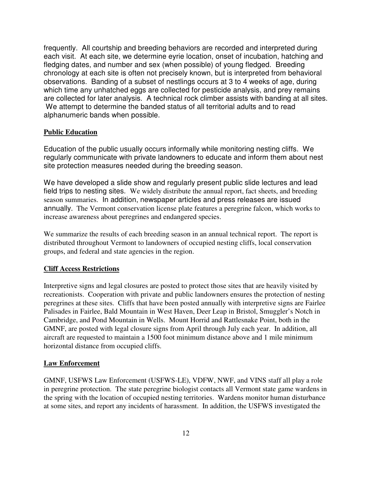frequently. All courtship and breeding behaviors are recorded and interpreted during each visit. At each site, we determine eyrie location, onset of incubation, hatching and fledging dates, and number and sex (when possible) of young fledged. Breeding chronology at each site is often not precisely known, but is interpreted from behavioral observations. Banding of a subset of nestlings occurs at 3 to 4 weeks of age, during which time any unhatched eggs are collected for pesticide analysis, and prey remains are collected for later analysis. A technical rock climber assists with banding at all sites. We attempt to determine the banded status of all territorial adults and to read alphanumeric bands when possible.

#### **Public Education**

Education of the public usually occurs informally while monitoring nesting cliffs. We regularly communicate with private landowners to educate and inform them about nest site protection measures needed during the breeding season.

We have developed a slide show and regularly present public slide lectures and lead field trips to nesting sites. We widely distribute the annual report, fact sheets, and breeding season summaries. In addition, newspaper articles and press releases are issued annually. The Vermont conservation license plate features a peregrine falcon, which works to increase awareness about peregrines and endangered species.

We summarize the results of each breeding season in an annual technical report. The report is distributed throughout Vermont to landowners of occupied nesting cliffs, local conservation groups, and federal and state agencies in the region.

### **Cliff Access Restrictions**

Interpretive signs and legal closures are posted to protect those sites that are heavily visited by recreationists. Cooperation with private and public landowners ensures the protection of nesting peregrines at these sites. Cliffs that have been posted annually with interpretive signs are Fairlee Palisades in Fairlee, Bald Mountain in West Haven, Deer Leap in Bristol, Smuggler's Notch in Cambridge, and Pond Mountain in Wells. Mount Horrid and Rattlesnake Point, both in the GMNF, are posted with legal closure signs from April through July each year. In addition, all aircraft are requested to maintain a 1500 foot minimum distance above and 1 mile minimum horizontal distance from occupied cliffs.

#### **Law Enforcement**

GMNF, USFWS Law Enforcement (USFWS-LE), VDFW, NWF, and VINS staff all play a role in peregrine protection. The state peregrine biologist contacts all Vermont state game wardens in the spring with the location of occupied nesting territories. Wardens monitor human disturbance at some sites, and report any incidents of harassment. In addition, the USFWS investigated the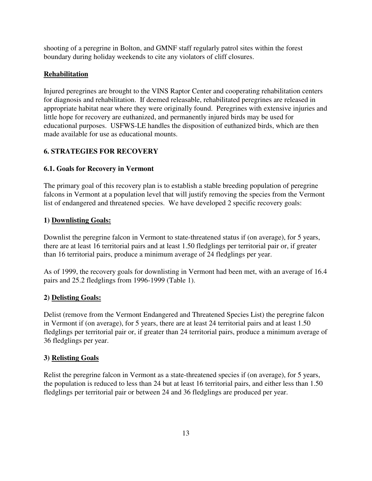shooting of a peregrine in Bolton, and GMNF staff regularly patrol sites within the forest boundary during holiday weekends to cite any violators of cliff closures.

## **Rehabilitation**

Injured peregrines are brought to the VINS Raptor Center and cooperating rehabilitation centers for diagnosis and rehabilitation. If deemed releasable, rehabilitated peregrines are released in appropriate habitat near where they were originally found. Peregrines with extensive injuries and little hope for recovery are euthanized, and permanently injured birds may be used for educational purposes. USFWS-LE handles the disposition of euthanized birds, which are then made available for use as educational mounts.

## **6. STRATEGIES FOR RECOVERY**

### **6.1. Goals for Recovery in Vermont**

The primary goal of this recovery plan is to establish a stable breeding population of peregrine falcons in Vermont at a population level that will justify removing the species from the Vermont list of endangered and threatened species. We have developed 2 specific recovery goals:

### **1) Downlisting Goals:**

Downlist the peregrine falcon in Vermont to state-threatened status if (on average), for 5 years, there are at least 16 territorial pairs and at least 1.50 fledglings per territorial pair or, if greater than 16 territorial pairs, produce a minimum average of 24 fledglings per year.

As of 1999, the recovery goals for downlisting in Vermont had been met, with an average of 16.4 pairs and 25.2 fledglings from 1996-1999 (Table 1).

### **2) Delisting Goals:**

Delist (remove from the Vermont Endangered and Threatened Species List) the peregrine falcon in Vermont if (on average), for 5 years, there are at least 24 territorial pairs and at least 1.50 fledglings per territorial pair or, if greater than 24 territorial pairs, produce a minimum average of 36 fledglings per year.

### **3) Relisting Goals**

Relist the peregrine falcon in Vermont as a state-threatened species if (on average), for 5 years, the population is reduced to less than 24 but at least 16 territorial pairs, and either less than 1.50 fledglings per territorial pair or between 24 and 36 fledglings are produced per year.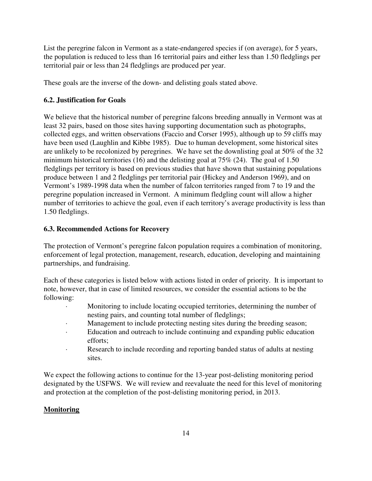List the peregrine falcon in Vermont as a state-endangered species if (on average), for 5 years, the population is reduced to less than 16 territorial pairs and either less than 1.50 fledglings per territorial pair or less than 24 fledglings are produced per year.

These goals are the inverse of the down- and delisting goals stated above.

## **6.2. Justification for Goals**

We believe that the historical number of peregrine falcons breeding annually in Vermont was at least 32 pairs, based on those sites having supporting documentation such as photographs, collected eggs, and written observations (Faccio and Corser 1995), although up to 59 cliffs may have been used (Laughlin and Kibbe 1985). Due to human development, some historical sites are unlikely to be recolonized by peregrines. We have set the downlisting goal at 50% of the 32 minimum historical territories (16) and the delisting goal at 75% (24). The goal of 1.50 fledglings per territory is based on previous studies that have shown that sustaining populations produce between 1 and 2 fledglings per territorial pair (Hickey and Anderson 1969), and on Vermont's 1989-1998 data when the number of falcon territories ranged from 7 to 19 and the peregrine population increased in Vermont. A minimum fledgling count will allow a higher number of territories to achieve the goal, even if each territory's average productivity is less than 1.50 fledglings.

## **6.3. Recommended Actions for Recovery**

The protection of Vermont's peregrine falcon population requires a combination of monitoring, enforcement of legal protection, management, research, education, developing and maintaining partnerships, and fundraising.

Each of these categories is listed below with actions listed in order of priority. It is important to note, however, that in case of limited resources, we consider the essential actions to be the following:

- · Monitoring to include locating occupied territories, determining the number of nesting pairs, and counting total number of fledglings;
- Management to include protecting nesting sites during the breeding season;
- · Education and outreach to include continuing and expanding public education efforts;
- · Research to include recording and reporting banded status of adults at nesting sites.

We expect the following actions to continue for the 13-year post-delisting monitoring period designated by the USFWS. We will review and reevaluate the need for this level of monitoring and protection at the completion of the post-delisting monitoring period, in 2013.

## **Monitoring**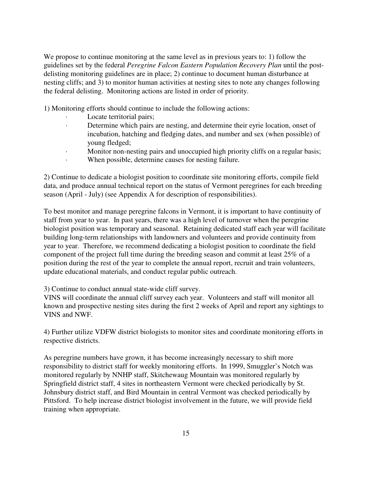We propose to continue monitoring at the same level as in previous years to: 1) follow the guidelines set by the federal *Peregrine Falcon Eastern Population Recovery Plan* until the postdelisting monitoring guidelines are in place; 2) continue to document human disturbance at nesting cliffs; and 3) to monitor human activities at nesting sites to note any changes following the federal delisting. Monitoring actions are listed in order of priority.

1) Monitoring efforts should continue to include the following actions:

- · Locate territorial pairs;
- · Determine which pairs are nesting, and determine their eyrie location, onset of incubation, hatching and fledging dates, and number and sex (when possible) of young fledged;
- · Monitor non-nesting pairs and unoccupied high priority cliffs on a regular basis;
- When possible, determine causes for nesting failure.

2) Continue to dedicate a biologist position to coordinate site monitoring efforts, compile field data, and produce annual technical report on the status of Vermont peregrines for each breeding season (April - July) (see Appendix A for description of responsibilities).

To best monitor and manage peregrine falcons in Vermont, it is important to have continuity of staff from year to year. In past years, there was a high level of turnover when the peregrine biologist position was temporary and seasonal. Retaining dedicated staff each year will facilitate building long-term relationships with landowners and volunteers and provide continuity from year to year. Therefore, we recommend dedicating a biologist position to coordinate the field component of the project full time during the breeding season and commit at least 25% of a position during the rest of the year to complete the annual report, recruit and train volunteers, update educational materials, and conduct regular public outreach.

3) Continue to conduct annual state-wide cliff survey.

VINS will coordinate the annual cliff survey each year. Volunteers and staff will monitor all known and prospective nesting sites during the first 2 weeks of April and report any sightings to VINS and NWF.

4) Further utilize VDFW district biologists to monitor sites and coordinate monitoring efforts in respective districts.

As peregrine numbers have grown, it has become increasingly necessary to shift more responsibility to district staff for weekly monitoring efforts. In 1999, Smuggler's Notch was monitored regularly by NNHP staff, Skitchewaug Mountain was monitored regularly by Springfield district staff, 4 sites in northeastern Vermont were checked periodically by St. Johnsbury district staff, and Bird Mountain in central Vermont was checked periodically by Pittsford. To help increase district biologist involvement in the future, we will provide field training when appropriate.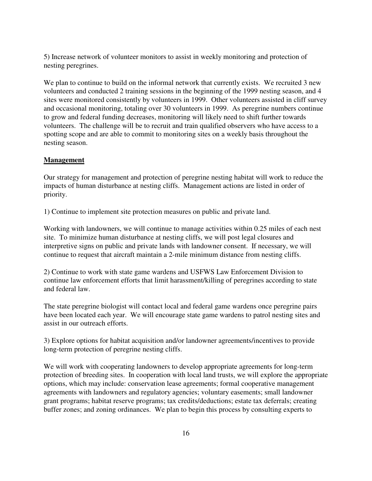5) Increase network of volunteer monitors to assist in weekly monitoring and protection of nesting peregrines.

We plan to continue to build on the informal network that currently exists. We recruited 3 new volunteers and conducted 2 training sessions in the beginning of the 1999 nesting season, and 4 sites were monitored consistently by volunteers in 1999. Other volunteers assisted in cliff survey and occasional monitoring, totaling over 30 volunteers in 1999. As peregrine numbers continue to grow and federal funding decreases, monitoring will likely need to shift further towards volunteers. The challenge will be to recruit and train qualified observers who have access to a spotting scope and are able to commit to monitoring sites on a weekly basis throughout the nesting season.

#### **Management**

Our strategy for management and protection of peregrine nesting habitat will work to reduce the impacts of human disturbance at nesting cliffs. Management actions are listed in order of priority.

1) Continue to implement site protection measures on public and private land.

Working with landowners, we will continue to manage activities within 0.25 miles of each nest site. To minimize human disturbance at nesting cliffs, we will post legal closures and interpretive signs on public and private lands with landowner consent. If necessary, we will continue to request that aircraft maintain a 2-mile minimum distance from nesting cliffs.

2) Continue to work with state game wardens and USFWS Law Enforcement Division to continue law enforcement efforts that limit harassment/killing of peregrines according to state and federal law.

The state peregrine biologist will contact local and federal game wardens once peregrine pairs have been located each year. We will encourage state game wardens to patrol nesting sites and assist in our outreach efforts.

3) Explore options for habitat acquisition and/or landowner agreements/incentives to provide long-term protection of peregrine nesting cliffs.

We will work with cooperating landowners to develop appropriate agreements for long-term protection of breeding sites. In cooperation with local land trusts, we will explore the appropriate options, which may include: conservation lease agreements; formal cooperative management agreements with landowners and regulatory agencies; voluntary easements; small landowner grant programs; habitat reserve programs; tax credits/deductions; estate tax deferrals; creating buffer zones; and zoning ordinances. We plan to begin this process by consulting experts to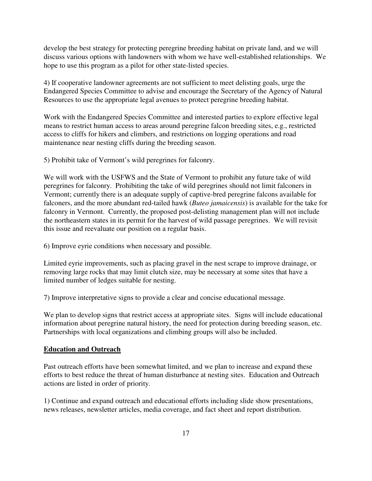develop the best strategy for protecting peregrine breeding habitat on private land, and we will discuss various options with landowners with whom we have well-established relationships. We hope to use this program as a pilot for other state-listed species.

4) If cooperative landowner agreements are not sufficient to meet delisting goals, urge the Endangered Species Committee to advise and encourage the Secretary of the Agency of Natural Resources to use the appropriate legal avenues to protect peregrine breeding habitat.

Work with the Endangered Species Committee and interested parties to explore effective legal means to restrict human access to areas around peregrine falcon breeding sites, e.g., restricted access to cliffs for hikers and climbers, and restrictions on logging operations and road maintenance near nesting cliffs during the breeding season.

5) Prohibit take of Vermont's wild peregrines for falconry.

We will work with the USFWS and the State of Vermont to prohibit any future take of wild peregrines for falconry. Prohibiting the take of wild peregrines should not limit falconers in Vermont; currently there is an adequate supply of captive-bred peregrine falcons available for falconers, and the more abundant red-tailed hawk (*Buteo jamaicensis*) is available for the take for falconry in Vermont. Currently, the proposed post-delisting management plan will not include the northeastern states in its permit for the harvest of wild passage peregrines. We will revisit this issue and reevaluate our position on a regular basis.

6) Improve eyrie conditions when necessary and possible.

Limited eyrie improvements, such as placing gravel in the nest scrape to improve drainage, or removing large rocks that may limit clutch size, may be necessary at some sites that have a limited number of ledges suitable for nesting.

7) Improve interpretative signs to provide a clear and concise educational message.

We plan to develop signs that restrict access at appropriate sites. Signs will include educational information about peregrine natural history, the need for protection during breeding season, etc. Partnerships with local organizations and climbing groups will also be included.

#### **Education and Outreach**

Past outreach efforts have been somewhat limited, and we plan to increase and expand these efforts to best reduce the threat of human disturbance at nesting sites. Education and Outreach actions are listed in order of priority.

1) Continue and expand outreach and educational efforts including slide show presentations, news releases, newsletter articles, media coverage, and fact sheet and report distribution.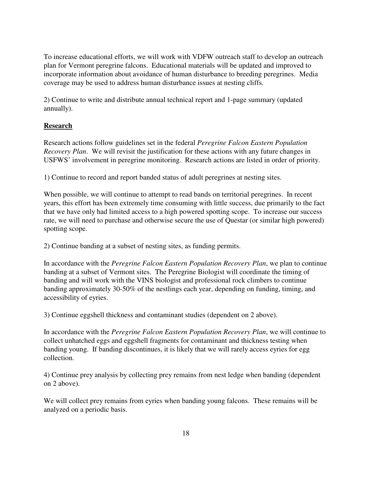To increase educational efforts, we will work with VDFW outreach staff to develop an outreach plan for Vermont peregrine falcons. Educational materials will be updated and improved to incorporate information about avoidance of human disturbance to breeding peregrines. Media coverage may be used to address human disturbance issues at nesting cliffs.

2) Continue to write and distribute annual technical report and 1-page summary (updated annually).

## **Research**

Research actions follow guidelines set in the federal *Peregrine Falcon Eastern Population Recovery Plan*. We will revisit the justification for these actions with any future changes in USFWS' involvement in peregrine monitoring. Research actions are listed in order of priority.

1) Continue to record and report banded status of adult peregrines at nesting sites.

When possible, we will continue to attempt to read bands on territorial peregrines. In recent years, this effort has been extremely time consuming with little success, due primarily to the fact that we have only had limited access to a high powered spotting scope. To increase our success rate, we will need to purchase and otherwise secure the use of Questar (or similar high powered) spotting scope.

2) Continue banding at a subset of nesting sites, as funding permits.

In accordance with the *Peregrine Falcon Eastern Population Recovery Plan*, we plan to continue banding at a subset of Vermont sites. The Peregrine Biologist will coordinate the timing of banding and will work with the VINS biologist and professional rock climbers to continue banding approximately 30-50% of the nestlings each year, depending on funding, timing, and accessibility of eyries.

3) Continue eggshell thickness and contaminant studies (dependent on 2 above).

In accordance with the *Peregrine Falcon Eastern Population Recovery Plan*, we will continue to collect unhatched eggs and eggshell fragments for contaminant and thickness testing when banding young. If banding discontinues, it is likely that we will rarely access eyries for egg collection.

4) Continue prey analysis by collecting prey remains from nest ledge when banding (dependent on 2 above).

We will collect prey remains from eyries when banding young falcons. These remains will be analyzed on a periodic basis.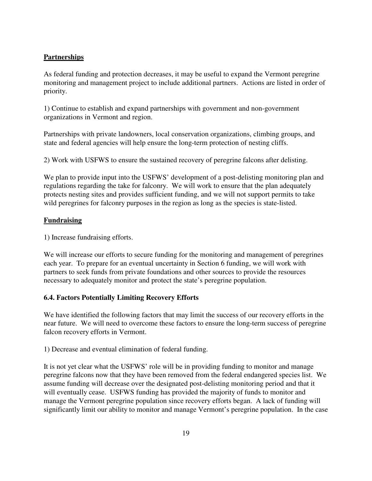### **Partnerships**

As federal funding and protection decreases, it may be useful to expand the Vermont peregrine monitoring and management project to include additional partners. Actions are listed in order of priority.

1) Continue to establish and expand partnerships with government and non-government organizations in Vermont and region.

Partnerships with private landowners, local conservation organizations, climbing groups, and state and federal agencies will help ensure the long-term protection of nesting cliffs.

2) Work with USFWS to ensure the sustained recovery of peregrine falcons after delisting.

We plan to provide input into the USFWS' development of a post-delisting monitoring plan and regulations regarding the take for falconry. We will work to ensure that the plan adequately protects nesting sites and provides sufficient funding, and we will not support permits to take wild peregrines for falconry purposes in the region as long as the species is state-listed.

### **Fundraising**

1) Increase fundraising efforts.

We will increase our efforts to secure funding for the monitoring and management of peregrines each year. To prepare for an eventual uncertainty in Section 6 funding, we will work with partners to seek funds from private foundations and other sources to provide the resources necessary to adequately monitor and protect the state's peregrine population.

### **6.4. Factors Potentially Limiting Recovery Efforts**

We have identified the following factors that may limit the success of our recovery efforts in the near future. We will need to overcome these factors to ensure the long-term success of peregrine falcon recovery efforts in Vermont.

1) Decrease and eventual elimination of federal funding.

It is not yet clear what the USFWS' role will be in providing funding to monitor and manage peregrine falcons now that they have been removed from the federal endangered species list. We assume funding will decrease over the designated post-delisting monitoring period and that it will eventually cease. USFWS funding has provided the majority of funds to monitor and manage the Vermont peregrine population since recovery efforts began. A lack of funding will significantly limit our ability to monitor and manage Vermont's peregrine population. In the case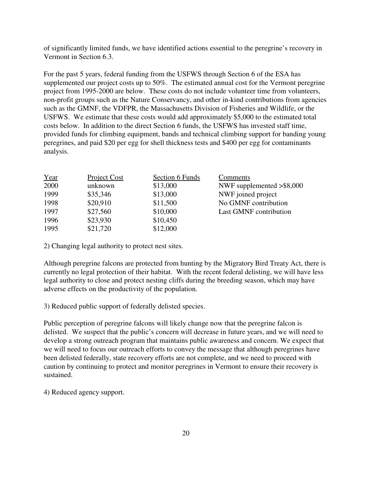of significantly limited funds, we have identified actions essential to the peregrine's recovery in Vermont in Section 6.3.

For the past 5 years, federal funding from the USFWS through Section 6 of the ESA has supplemented our project costs up to 50%. The estimated annual cost for the Vermont peregrine project from 1995-2000 are below. These costs do not include volunteer time from volunteers, non-profit groups such as the Nature Conservancy, and other in-kind contributions from agencies such as the GMNF, the VDFPR, the Massachusetts Division of Fisheries and Wildlife, or the USFWS. We estimate that these costs would add approximately \$5,000 to the estimated total costs below. In addition to the direct Section 6 funds, the USFWS has invested staff time, provided funds for climbing equipment, bands and technical climbing support for banding young peregrines, and paid \$20 per egg for shell thickness tests and \$400 per egg for contaminants analysis.

| Year | Project Cost | Section 6 Funds | Comments                     |
|------|--------------|-----------------|------------------------------|
| 2000 | unknown      | \$13,000        | NWF supplemented $>$ \$8,000 |
| 1999 | \$35,346     | \$13,000        | NWF joined project           |
| 1998 | \$20,910     | \$11,500        | No GMNF contribution         |
| 1997 | \$27,560     | \$10,000        | Last GMNF contribution       |
| 1996 | \$23,930     | \$10,450        |                              |
| 1995 | \$21,720     | \$12,000        |                              |

2) Changing legal authority to protect nest sites.

Although peregrine falcons are protected from hunting by the Migratory Bird Treaty Act, there is currently no legal protection of their habitat. With the recent federal delisting, we will have less legal authority to close and protect nesting cliffs during the breeding season, which may have adverse effects on the productivity of the population.

3) Reduced public support of federally delisted species.

Public perception of peregrine falcons will likely change now that the peregrine falcon is delisted. We suspect that the public's concern will decrease in future years, and we will need to develop a strong outreach program that maintains public awareness and concern. We expect that we will need to focus our outreach efforts to convey the message that although peregrines have been delisted federally, state recovery efforts are not complete, and we need to proceed with caution by continuing to protect and monitor peregrines in Vermont to ensure their recovery is sustained.

4) Reduced agency support.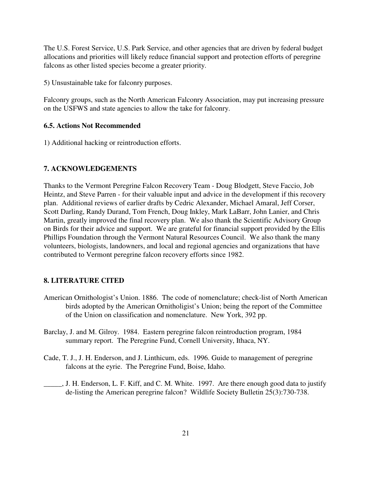The U.S. Forest Service, U.S. Park Service, and other agencies that are driven by federal budget allocations and priorities will likely reduce financial support and protection efforts of peregrine falcons as other listed species become a greater priority.

5) Unsustainable take for falconry purposes.

Falconry groups, such as the North American Falconry Association, may put increasing pressure on the USFWS and state agencies to allow the take for falconry.

#### **6.5. Actions Not Recommended**

1) Additional hacking or reintroduction efforts.

#### **7. ACKNOWLEDGEMENTS**

Thanks to the Vermont Peregrine Falcon Recovery Team - Doug Blodgett, Steve Faccio, Job Heintz, and Steve Parren - for their valuable input and advice in the development if this recovery plan. Additional reviews of earlier drafts by Cedric Alexander, Michael Amaral, Jeff Corser, Scott Darling, Randy Durand, Tom French, Doug Inkley, Mark LaBarr, John Lanier, and Chris Martin, greatly improved the final recovery plan. We also thank the Scientific Advisory Group on Birds for their advice and support. We are grateful for financial support provided by the Ellis Phillips Foundation through the Vermont Natural Resources Council. We also thank the many volunteers, biologists, landowners, and local and regional agencies and organizations that have contributed to Vermont peregrine falcon recovery efforts since 1982.

#### **8. LITERATURE CITED**

- American Ornithologist's Union. 1886. The code of nomenclature; check-list of North American birds adopted by the American Ornitholigist's Union; being the report of the Committee of the Union on classification and nomenclature. New York, 392 pp.
- Barclay, J. and M. Gilroy. 1984. Eastern peregrine falcon reintroduction program, 1984 summary report. The Peregrine Fund, Cornell University, Ithaca, NY.
- Cade, T. J., J. H. Enderson, and J. Linthicum, eds. 1996. Guide to management of peregrine falcons at the eyrie. The Peregrine Fund, Boise, Idaho.
- \_\_\_\_\_, J. H. Enderson, L. F. Kiff, and C. M. White. 1997. Are there enough good data to justify de-listing the American peregrine falcon? Wildlife Society Bulletin 25(3):730-738.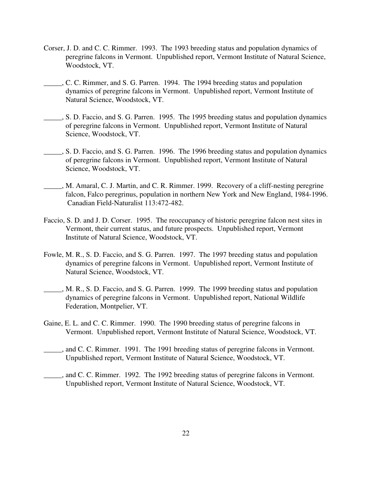- Corser, J. D. and C. C. Rimmer. 1993. The 1993 breeding status and population dynamics of peregrine falcons in Vermont. Unpublished report, Vermont Institute of Natural Science, Woodstock, VT.
- \_\_\_\_\_, C. C. Rimmer, and S. G. Parren. 1994. The 1994 breeding status and population dynamics of peregrine falcons in Vermont. Unpublished report, Vermont Institute of Natural Science, Woodstock, VT.
- \_\_\_\_\_, S. D. Faccio, and S. G. Parren. 1995. The 1995 breeding status and population dynamics of peregrine falcons in Vermont. Unpublished report, Vermont Institute of Natural Science, Woodstock, VT.
- \_\_\_\_\_, S. D. Faccio, and S. G. Parren. 1996. The 1996 breeding status and population dynamics of peregrine falcons in Vermont. Unpublished report, Vermont Institute of Natural Science, Woodstock, VT.
- \_\_\_\_\_, M. Amaral, C. J. Martin, and C. R. Rimmer. 1999. Recovery of a cliff-nesting peregrine falcon, Falco peregrinus, population in northern New York and New England, 1984-1996. Canadian Field-Naturalist 113:472-482.
- Faccio, S. D. and J. D. Corser. 1995. The reoccupancy of historic peregrine falcon nest sites in Vermont, their current status, and future prospects. Unpublished report, Vermont Institute of Natural Science, Woodstock, VT.
- Fowle, M. R., S. D. Faccio, and S. G. Parren. 1997. The 1997 breeding status and population dynamics of peregrine falcons in Vermont. Unpublished report, Vermont Institute of Natural Science, Woodstock, VT.
- \_\_\_\_\_, M. R., S. D. Faccio, and S. G. Parren. 1999. The 1999 breeding status and population dynamics of peregrine falcons in Vermont. Unpublished report, National Wildlife Federation, Montpelier, VT.
- Gaine, E. L. and C. C. Rimmer. 1990. The 1990 breeding status of peregrine falcons in Vermont. Unpublished report, Vermont Institute of Natural Science, Woodstock, VT.
- \_\_\_\_\_, and C. C. Rimmer. 1991. The 1991 breeding status of peregrine falcons in Vermont. Unpublished report, Vermont Institute of Natural Science, Woodstock, VT.
- \_\_\_\_\_, and C. C. Rimmer. 1992. The 1992 breeding status of peregrine falcons in Vermont. Unpublished report, Vermont Institute of Natural Science, Woodstock, VT.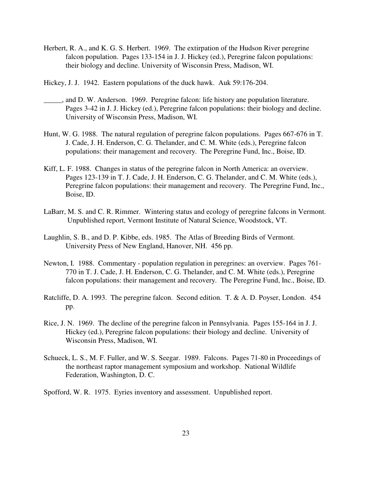- Herbert, R. A., and K. G. S. Herbert. 1969. The extirpation of the Hudson River peregrine falcon population. Pages 133-154 in J. J. Hickey (ed.), Peregrine falcon populations: their biology and decline. University of Wisconsin Press, Madison, WI.
- Hickey, J. J. 1942. Eastern populations of the duck hawk. Auk 59:176-204.
- \_\_\_\_\_, and D. W. Anderson. 1969. Peregrine falcon: life history ane population literature. Pages 3-42 in J. J. Hickey (ed.), Peregrine falcon populations: their biology and decline. University of Wisconsin Press, Madison, WI.
- Hunt, W. G. 1988. The natural regulation of peregrine falcon populations. Pages 667-676 in T. J. Cade, J. H. Enderson, C. G. Thelander, and C. M. White (eds.), Peregrine falcon populations: their management and recovery. The Peregrine Fund, Inc., Boise, ID.
- Kiff, L. F. 1988. Changes in status of the peregrine falcon in North America: an overview. Pages 123-139 in T. J. Cade, J. H. Enderson, C. G. Thelander, and C. M. White (eds.), Peregrine falcon populations: their management and recovery. The Peregrine Fund, Inc., Boise, ID.
- LaBarr, M. S. and C. R. Rimmer. Wintering status and ecology of peregrine falcons in Vermont. Unpublished report, Vermont Institute of Natural Science, Woodstock, VT.
- Laughlin, S. B., and D. P. Kibbe, eds. 1985. The Atlas of Breeding Birds of Vermont. University Press of New England, Hanover, NH. 456 pp.
- Newton, I. 1988. Commentary population regulation in peregrines: an overview. Pages 761- 770 in T. J. Cade, J. H. Enderson, C. G. Thelander, and C. M. White (eds.), Peregrine falcon populations: their management and recovery. The Peregrine Fund, Inc., Boise, ID.
- Ratcliffe, D. A. 1993. The peregrine falcon. Second edition. T. & A. D. Poyser, London. 454 pp.
- Rice, J. N. 1969. The decline of the peregrine falcon in Pennsylvania. Pages 155-164 in J. J. Hickey (ed.), Peregrine falcon populations: their biology and decline. University of Wisconsin Press, Madison, WI.
- Schueck, L. S., M. F. Fuller, and W. S. Seegar. 1989. Falcons. Pages 71-80 in Proceedings of the northeast raptor management symposium and workshop. National Wildlife Federation, Washington, D. C.
- Spofford, W. R. 1975. Eyries inventory and assessment. Unpublished report.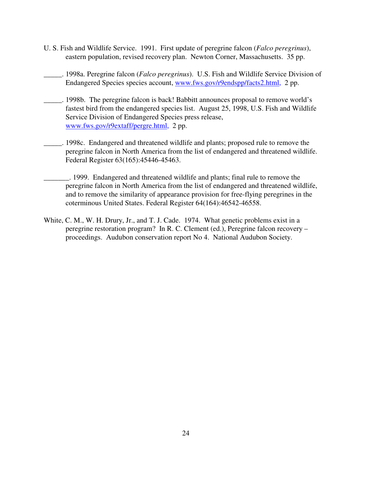- U. S. Fish and Wildlife Service. 1991. First update of peregrine falcon (*Falco peregrinus*), eastern population, revised recovery plan. Newton Corner, Massachusetts. 35 pp.
- \_\_\_\_\_. 1998a. Peregrine falcon (*Falco peregrinus*). U.S. Fish and Wildlife Service Division of Endangered Species species account, www.fws.gov/r9endspp/facts2.html, 2 pp.
- \_\_\_\_\_. 1998b. The peregrine falcon is back! Babbitt announces proposal to remove world's fastest bird from the endangered species list. August 25, 1998, U.S. Fish and Wildlife Service Division of Endangered Species press release, www.fws.gov/r9extaff/pergre.html, 2 pp.
- \_\_\_\_\_. 1998c. Endangered and threatened wildlife and plants; proposed rule to remove the peregrine falcon in North America from the list of endangered and threatened wildlife. Federal Register 63(165):45446-45463.
- \_\_\_\_\_\_\_. 1999. Endangered and threatened wildlife and plants; final rule to remove the peregrine falcon in North America from the list of endangered and threatened wildlife, and to remove the similarity of appearance provision for free-flying peregrines in the coterminous United States. Federal Register 64(164):46542-46558.
- White, C. M., W. H. Drury, Jr., and T. J. Cade. 1974. What genetic problems exist in a peregrine restoration program? In R. C. Clement (ed.), Peregrine falcon recovery – proceedings. Audubon conservation report No 4. National Audubon Society.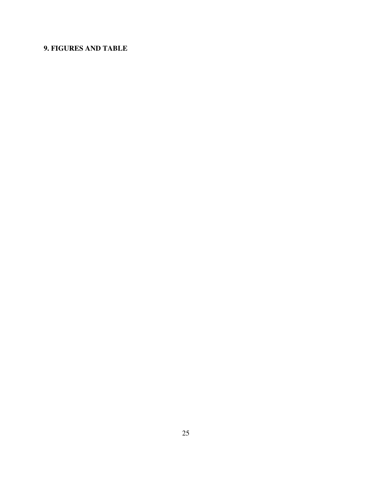# **9. FIGURES AND TABLE**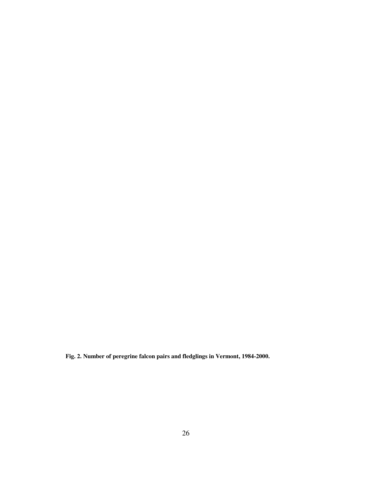**Fig. 2. Number of peregrine falcon pairs and fledglings in Vermont, 1984-2000.**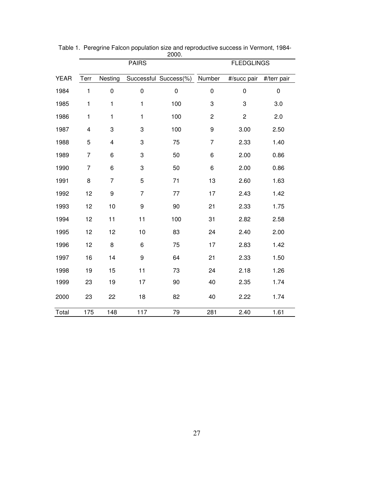|             | zuuu.<br><b>PAIRS</b> |                  |                | <b>FLEDGLINGS</b>     |                |                         |             |
|-------------|-----------------------|------------------|----------------|-----------------------|----------------|-------------------------|-------------|
| <b>YEAR</b> | Terr                  | Nesting          |                | Successful Success(%) | Number         | #/succ pair             | #/terr pair |
| 1984        | 1                     | $\boldsymbol{0}$ | $\pmb{0}$      | $\mathbf 0$           | $\pmb{0}$      | $\mathbf 0$             | $\mathbf 0$ |
| 1985        | 1                     | 1                | 1              | 100                   | 3              | 3                       | 3.0         |
| 1986        | 1                     | 1                | 1              | 100                   | $\mathbf 2$    | $\overline{\mathbf{c}}$ | 2.0         |
| 1987        | 4                     | 3                | 3              | 100                   | 9              | 3.00                    | 2.50        |
| 1988        | 5                     | 4                | 3              | 75                    | $\overline{7}$ | 2.33                    | 1.40        |
| 1989        | $\overline{7}$        | 6                | 3              | 50                    | 6              | 2.00                    | 0.86        |
| 1990        | $\overline{7}$        | 6                | 3              | 50                    | 6              | 2.00                    | 0.86        |
| 1991        | 8                     | $\overline{7}$   | 5              | 71                    | 13             | 2.60                    | 1.63        |
| 1992        | 12                    | 9                | $\overline{7}$ | 77                    | 17             | 2.43                    | 1.42        |
| 1993        | 12                    | 10               | 9              | 90                    | 21             | 2.33                    | 1.75        |
| 1994        | 12                    | 11               | 11             | 100                   | 31             | 2.82                    | 2.58        |
| 1995        | 12                    | 12               | 10             | 83                    | 24             | 2.40                    | 2.00        |
| 1996        | 12                    | 8                | 6              | 75                    | 17             | 2.83                    | 1.42        |
| 1997        | 16                    | 14               | 9              | 64                    | 21             | 2.33                    | 1.50        |
| 1998        | 19                    | 15               | 11             | 73                    | 24             | 2.18                    | 1.26        |
| 1999        | 23                    | 19               | 17             | 90                    | 40             | 2.35                    | 1.74        |
| 2000        | 23                    | 22               | 18             | 82                    | 40             | 2.22                    | 1.74        |
| Total       | 175                   | 148              | 117            | 79                    | 281            | 2.40                    | 1.61        |

Table 1. Peregrine Falcon population size and reproductive success in Vermont, 1984- 2000.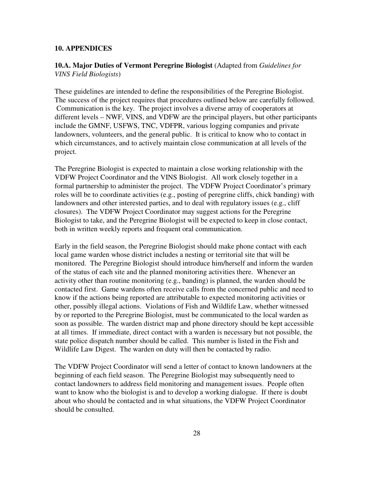#### **10. APPENDICES**

**10.A. Major Duties of Vermont Peregrine Biologist** (Adapted from *Guidelines for VINS Field Biologists*)

These guidelines are intended to define the responsibilities of the Peregrine Biologist. The success of the project requires that procedures outlined below are carefully followed. Communication is the key. The project involves a diverse array of cooperators at different levels – NWF, VINS, and VDFW are the principal players, but other participants include the GMNF, USFWS, TNC, VDFPR, various logging companies and private landowners, volunteers, and the general public. It is critical to know who to contact in which circumstances, and to actively maintain close communication at all levels of the project.

The Peregrine Biologist is expected to maintain a close working relationship with the VDFW Project Coordinator and the VINS Biologist. All work closely together in a formal partnership to administer the project. The VDFW Project Coordinator's primary roles will be to coordinate activities (e.g., posting of peregrine cliffs, chick banding) with landowners and other interested parties, and to deal with regulatory issues (e.g., cliff closures). The VDFW Project Coordinator may suggest actions for the Peregrine Biologist to take, and the Peregrine Biologist will be expected to keep in close contact, both in written weekly reports and frequent oral communication.

Early in the field season, the Peregrine Biologist should make phone contact with each local game warden whose district includes a nesting or territorial site that will be monitored. The Peregrine Biologist should introduce him/herself and inform the warden of the status of each site and the planned monitoring activities there. Whenever an activity other than routine monitoring (e.g., banding) is planned, the warden should be contacted first. Game wardens often receive calls from the concerned public and need to know if the actions being reported are attributable to expected monitoring activities or other, possibly illegal actions. Violations of Fish and Wildlife Law, whether witnessed by or reported to the Peregrine Biologist, must be communicated to the local warden as soon as possible. The warden district map and phone directory should be kept accessible at all times. If immediate, direct contact with a warden is necessary but not possible, the state police dispatch number should be called. This number is listed in the Fish and Wildlife Law Digest. The warden on duty will then be contacted by radio.

The VDFW Project Coordinator will send a letter of contact to known landowners at the beginning of each field season. The Peregrine Biologist may subsequently need to contact landowners to address field monitoring and management issues. People often want to know who the biologist is and to develop a working dialogue. If there is doubt about who should be contacted and in what situations, the VDFW Project Coordinator should be consulted.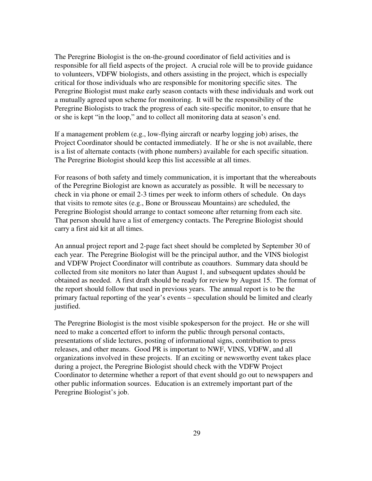The Peregrine Biologist is the on-the-ground coordinator of field activities and is responsible for all field aspects of the project. A crucial role will be to provide guidance to volunteers, VDFW biologists, and others assisting in the project, which is especially critical for those individuals who are responsible for monitoring specific sites. The Peregrine Biologist must make early season contacts with these individuals and work out a mutually agreed upon scheme for monitoring. It will be the responsibility of the Peregrine Biologists to track the progress of each site-specific monitor, to ensure that he or she is kept "in the loop," and to collect all monitoring data at season's end.

If a management problem (e.g., low-flying aircraft or nearby logging job) arises, the Project Coordinator should be contacted immediately. If he or she is not available, there is a list of alternate contacts (with phone numbers) available for each specific situation. The Peregrine Biologist should keep this list accessible at all times.

For reasons of both safety and timely communication, it is important that the whereabouts of the Peregrine Biologist are known as accurately as possible. It will be necessary to check in via phone or email 2-3 times per week to inform others of schedule. On days that visits to remote sites (e.g., Bone or Brousseau Mountains) are scheduled, the Peregrine Biologist should arrange to contact someone after returning from each site. That person should have a list of emergency contacts. The Peregrine Biologist should carry a first aid kit at all times.

An annual project report and 2-page fact sheet should be completed by September 30 of each year. The Peregrine Biologist will be the principal author, and the VINS biologist and VDFW Project Coordinator will contribute as coauthors. Summary data should be collected from site monitors no later than August 1, and subsequent updates should be obtained as needed. A first draft should be ready for review by August 15. The format of the report should follow that used in previous years. The annual report is to be the primary factual reporting of the year's events – speculation should be limited and clearly justified.

The Peregrine Biologist is the most visible spokesperson for the project. He or she will need to make a concerted effort to inform the public through personal contacts, presentations of slide lectures, posting of informational signs, contribution to press releases, and other means. Good PR is important to NWF, VINS, VDFW, and all organizations involved in these projects. If an exciting or newsworthy event takes place during a project, the Peregrine Biologist should check with the VDFW Project Coordinator to determine whether a report of that event should go out to newspapers and other public information sources. Education is an extremely important part of the Peregrine Biologist's job.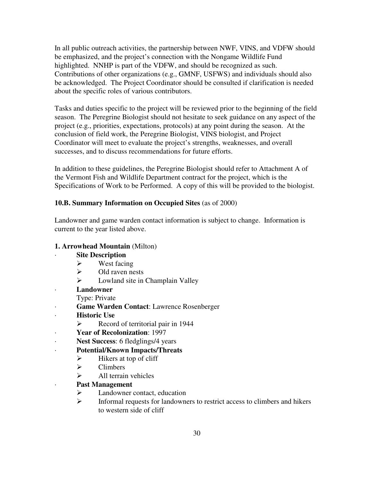In all public outreach activities, the partnership between NWF, VINS, and VDFW should be emphasized, and the project's connection with the Nongame Wildlife Fund highlighted. NNHP is part of the VDFW, and should be recognized as such. Contributions of other organizations (e.g., GMNF, USFWS) and individuals should also be acknowledged. The Project Coordinator should be consulted if clarification is needed about the specific roles of various contributors.

Tasks and duties specific to the project will be reviewed prior to the beginning of the field season. The Peregrine Biologist should not hesitate to seek guidance on any aspect of the project (e.g., priorities, expectations, protocols) at any point during the season. At the conclusion of field work, the Peregrine Biologist, VINS biologist, and Project Coordinator will meet to evaluate the project's strengths, weaknesses, and overall successes, and to discuss recommendations for future efforts.

In addition to these guidelines, the Peregrine Biologist should refer to Attachment A of the Vermont Fish and Wildlife Department contract for the project, which is the Specifications of Work to be Performed. A copy of this will be provided to the biologist.

### **10.B. Summary Information on Occupied Sites** (as of 2000)

Landowner and game warden contact information is subject to change. Information is current to the year listed above.

### **1. Arrowhead Mountain** (Milton)

- $\triangleright$  West facing
- $\triangleright$  Old raven nests
- $\triangleright$  Lowland site in Champlain Valley
- · **Landowner**
	- Type: Private
- **Game Warden Contact:** Lawrence Rosenberger
- · **Historic Use** 
	- $\triangleright$  Record of territorial pair in 1944
- · **Year of Recolonization**: 1997
- Nest Success: 6 fledglings/4 years
- · **Potential/Known Impacts/Threats**
	- $\triangleright$  Hikers at top of cliff
	- $\triangleright$  Climbers
	- $\triangleright$  All terrain vehicles
- · **Past Management**
	- $\triangleright$  Landowner contact, education
	- $\triangleright$  Informal requests for landowners to restrict access to climbers and hikers to western side of cliff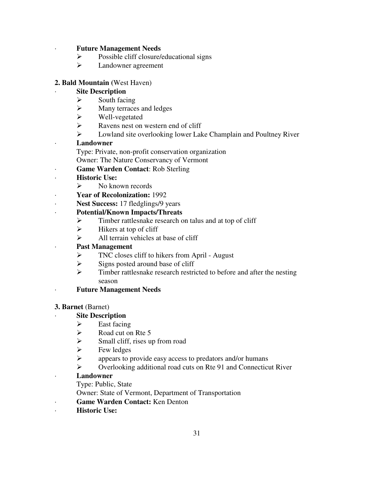### · **Future Management Needs**

- $\triangleright$  Possible cliff closure/educational signs
- Landowner agreement

### **2. Bald Mountain (**West Haven)

### **Site Description**

- $\triangleright$  South facing
- $\triangleright$  Many terraces and ledges
- Well-vegetated
- $\triangleright$  Ravens nest on western end of cliff
- Lowland site overlooking lower Lake Champlain and Poultney River

### · **Landowner**

- Type: Private, non-profit conservation organization
- Owner: The Nature Conservancy of Vermont
- · **Game Warden Contact**: Rob Sterling
- · **Historic Use:** 
	- $\triangleright$  No known records
- · **Year of Recolonization:** 1992
- · **Nest Success:** 17 fledglings/9 years

### · **Potential/Known Impacts/Threats**

- $\triangleright$  Timber rattlesnake research on talus and at top of cliff
- $\triangleright$  Hikers at top of cliff
- $\triangleright$  All terrain vehicles at base of cliff

### Past Management

- $\triangleright$  TNC closes cliff to hikers from April August
- $\triangleright$  Signs posted around base of cliff
- $\triangleright$  Timber rattlesnake research restricted to before and after the nesting season
- · **Future Management Needs**

### **3. Barnet** (Barnet)

### **Site Description**

- $\triangleright$  East facing
- $\triangleright$  Road cut on Rte 5
- $\triangleright$  Small cliff, rises up from road
- $\triangleright$  Few ledges
- appears to provide easy access to predators and/or humans
- Overlooking additional road cuts on Rte 91 and Connecticut River

### · **Landowner**

- Type: Public, State
- Owner: State of Vermont, Department of Transportation
- · **Game Warden Contact:** Ken Denton
- **Historic Use:**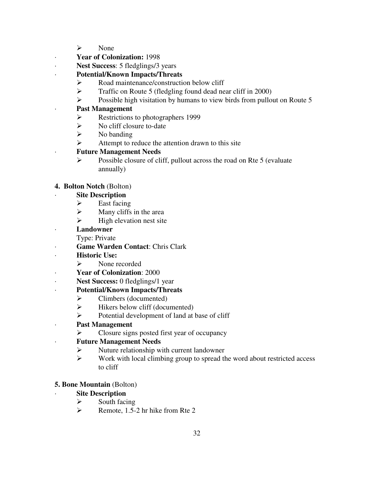- $\triangleright$  None
- · **Year of Colonization:** 1998
- · **Nest Success**: 5 fledglings/3 years

## · **Potential/Known Impacts/Threats**

- $\triangleright$  Road maintenance/construction below cliff
- Traffic on Route 5 (fledgling found dead near cliff in 2000)
- $\triangleright$  Possible high visitation by humans to view birds from pullout on Route 5

### · **Past Management**

- Restrictions to photographers 1999
- $\triangleright$  No cliff closure to-date
- $\triangleright$  No banding
- $\triangleright$  Attempt to reduce the attention drawn to this site

### · **Future Management Needs**

 $\triangleright$  Possible closure of cliff, pullout across the road on Rte 5 (evaluate annually)

## **4. Bolton Notch** (Bolton)

### **Site Description**

- $\triangleright$  East facing
- $\triangleright$  Many cliffs in the area
- $\triangleright$  High elevation nest site
- · **Landowner**
	- Type: Private
- **Game Warden Contact: Chris Clark**
- · **Historic Use:** 
	- $\triangleright$  None recorded
- · **Year of Colonization**: 2000
- · **Nest Success:** 0 fledglings/1 year

## · **Potential/Known Impacts/Threats**

- $\triangleright$  Climbers (documented)
- $\triangleright$  Hikers below cliff (documented)
- $\triangleright$  Potential development of land at base of cliff
- · **Past Management**
	- $\triangleright$  Closure signs posted first year of occupancy

## · **Future Management Needs**

- $\triangleright$  Nuture relationship with current landowner
- $\triangleright$  Work with local climbing group to spread the word about restricted access to cliff

## **5. Bone Mountain** (Bolton)

- $\triangleright$  South facing
- $\triangleright$  Remote, 1.5-2 hr hike from Rte 2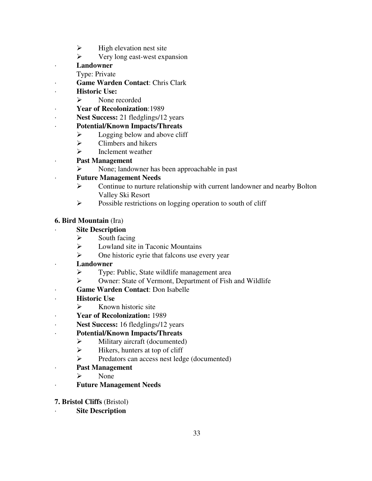- $\triangleright$  High elevation nest site
- $\triangleright$  Very long east-west expansion
- · **Landowner**

Type: Private

- · **Game Warden Contact**: Chris Clark
- · **Historic Use:** 
	- $\triangleright$  None recorded
- · **Year of Recolonization**:1989
- Nest Success: 21 fledglings/12 years
- · **Potential/Known Impacts/Threats**
	- $\triangleright$  Logging below and above cliff
	- $\triangleright$  Climbers and hikers
	- $\triangleright$  Inclement weather
- · **Past Management**
	- None; landowner has been approachable in past

## · **Future Management Needs**

- $\triangleright$  Continue to nurture relationship with current landowner and nearby Bolton Valley Ski Resort
- $\triangleright$  Possible restrictions on logging operation to south of cliff

## **6. Bird Mountain** (Ira)

- $\triangleright$  South facing
- $\triangleright$  Lowland site in Taconic Mountains
- $\triangleright$  One historic eyrie that falcons use every year
- · **Landowner**
	- **EXECUTE:** Type: Public, State wildlife management area
	- Owner: State of Vermont, Department of Fish and Wildlife
- · **Game Warden Contact**: Don Isabelle
- **Historic Use** 
	- $\triangleright$  Known historic site
- · **Year of Recolonization:** 1989
- · **Nest Success:** 16 fledglings/12 years
- · **Potential/Known Impacts/Threats**
	- Military aircraft (documented)
	- $\triangleright$  Hikers, hunters at top of cliff
	- Predators can access nest ledge (documented)
- · **Past Management**
	- $\triangleright$  None
- · **Future Management Needs**
- **7. Bristol Cliffs** (Bristol)
	- **Site Description**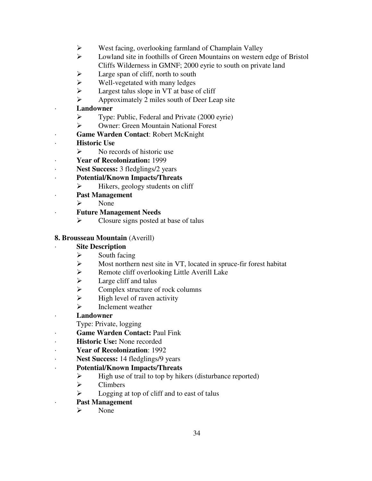- West facing, overlooking farmland of Champlain Valley
- Lowland site in foothills of Green Mountains on western edge of Bristol Cliffs Wilderness in GMNF; 2000 eyrie to south on private land
- $\triangleright$  Large span of cliff, north to south
- $\triangleright$  Well-vegetated with many ledges
- $\triangleright$  Largest talus slope in VT at base of cliff
- $\triangleright$  Approximately 2 miles south of Deer Leap site
- · **Landowner**
	- Type: Public, Federal and Private (2000 eyrie)
	- Owner: Green Mountain National Forest
- · **Game Warden Contact**: Robert McKnight
- **Historic Use** 
	- $\triangleright$  No records of historic use
- · **Year of Recolonization:** 1999
- · **Nest Success:** 3 fledglings/2 years
- · **Potential/Known Impacts/Threats**
	- $\triangleright$  Hikers, geology students on cliff
- · **Past Management**
	- $\triangleright$  None
- · **Future Management Needs**
	- $\triangleright$  Closure signs posted at base of talus

## **8. Brousseau Mountain** (Averill)

- $\triangleright$  South facing
- Most northern nest site in VT, located in spruce-fir forest habitat
- $\triangleright$  Remote cliff overlooking Little Averill Lake
- $\triangleright$  Large cliff and talus
- $\triangleright$  Complex structure of rock columns
- $\triangleright$  High level of raven activity
- $\triangleright$  Inclement weather
- · **Landowner**
	- Type: Private, logging
- · **Game Warden Contact:** Paul Fink
- · **Historic Use:** None recorded
- · **Year of Recolonization**: 1992
- · **Nest Success:** 14 fledglings/9 years
- · **Potential/Known Impacts/Threats**
	- $\triangleright$  High use of trail to top by hikers (disturbance reported)
	- $\triangleright$  Climbers
	- $\triangleright$  Logging at top of cliff and to east of talus
- · **Past Management**
	- $\triangleright$  None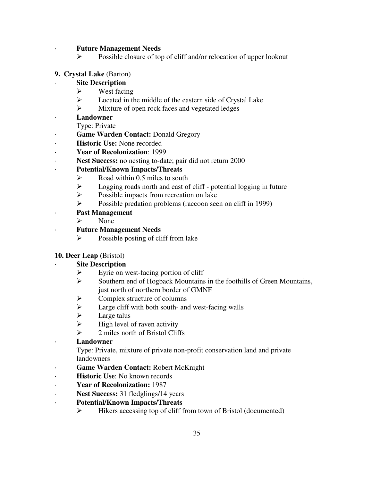### · **Future Management Needs**

 $\triangleright$  Possible closure of top of cliff and/or relocation of upper lookout

#### **9. Crystal Lake** (Barton)

- **Site Description** 
	- $\triangleright$  West facing
	- Located in the middle of the eastern side of Crystal Lake
	- $\triangleright$  Mixture of open rock faces and vegetated ledges
- · **Landowner**
	- Type: Private
- · **Game Warden Contact:** Donald Gregory
- · **Historic Use:** None recorded
- · **Year of Recolonization**: 1999
- **Nest Success:** no nesting to-date; pair did not return 2000

### · **Potential/Known Impacts/Threats**

- $\triangleright$  Road within 0.5 miles to south
- $\triangleright$  Logging roads north and east of cliff potential logging in future
- $\triangleright$  Possible impacts from recreation on lake
- Possible predation problems (raccoon seen on cliff in 1999)
- · **Past Management**
	- $\triangleright$  None

### · **Future Management Needs**

 $\triangleright$  Possible posting of cliff from lake

### **10. Deer Leap** (Bristol)

- $\triangleright$  Eyrie on west-facing portion of cliff
- $\triangleright$  Southern end of Hogback Mountains in the foothills of Green Mountains, just north of northern border of GMNF
- $\triangleright$  Complex structure of columns
- $\triangleright$  Large cliff with both south- and west-facing walls
- $\triangleright$  Large talus
- $\triangleright$  High level of raven activity
- $\geq$  2 miles north of Bristol Cliffs
- · **Landowner**
	- Type: Private, mixture of private non-profit conservation land and private landowners
- Game Warden Contact: Robert McKnight
- · **Historic Use**: No known records
- · **Year of Recolonization:** 1987
- · **Nest Success:** 31 fledglings/14 years
- · **Potential/Known Impacts/Threats**
	- $\triangleright$  Hikers accessing top of cliff from town of Bristol (documented)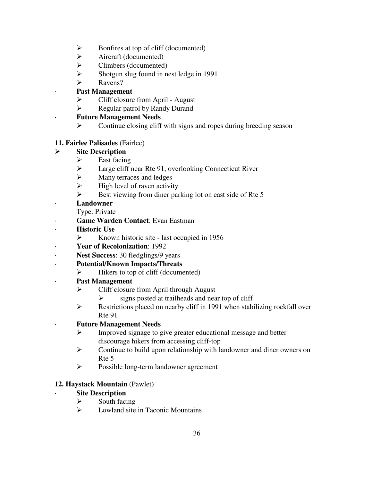- $\triangleright$  Bonfires at top of cliff (documented)
- $\triangleright$  Aircraft (documented)
- $\triangleright$  Climbers (documented)
- $\triangleright$  Shotgun slug found in nest ledge in 1991
- **►** Ravens?

## · **Past Management**

- $\triangleright$  Cliff closure from April August
- $\triangleright$  Regular patrol by Randy Durand

# · **Future Management Needs**

 $\triangleright$  Continue closing cliff with signs and ropes during breeding season

## **11. Fairlee Palisades** (Fairlee)

# **Site Description**

- $\triangleright$  East facing
- Large cliff near Rte 91, overlooking Connecticut River
- $\triangleright$  Many terraces and ledges
- $\triangleright$  High level of raven activity
- $\triangleright$  Best viewing from diner parking lot on east side of Rte 5

## · **Landowner**

- Type: Private
- · **Game Warden Contact**: Evan Eastman
- · **Historic Use**
	- $\triangleright$  Known historic site last occupied in 1956
- · **Year of Recolonization**: 1992
- · **Nest Success**: 30 fledglings/9 years
- · **Potential/Known Impacts/Threats**
	- $\triangleright$  Hikers to top of cliff (documented)
- · **Past Management**
	- $\triangleright$  Cliff closure from April through August
		- $\triangleright$  signs posted at trailheads and near top of cliff
	- Restrictions placed on nearby cliff in 1991 when stabilizing rockfall over Rte 91

## · **Future Management Needs**

- Improved signage to give greater educational message and better discourage hikers from accessing cliff-top
- Continue to build upon relationship with landowner and diner owners on Rte 5
- Possible long-term landowner agreement

## **12. Haystack Mountain** (Pawlet)

- $\triangleright$  South facing
- $\triangleright$  Lowland site in Taconic Mountains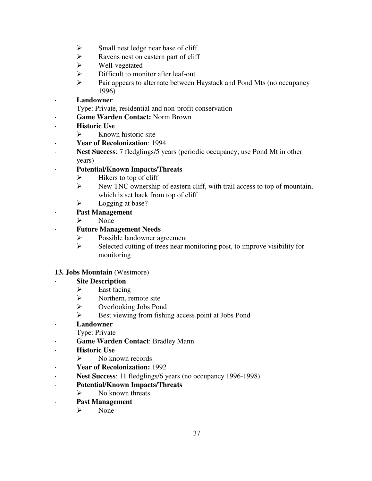- $\triangleright$  Small nest ledge near base of cliff
- $\triangleright$  Ravens nest on eastern part of cliff
- Well-vegetated
- $\triangleright$  Difficult to monitor after leaf-out
- Pair appears to alternate between Haystack and Pond Mts (no occupancy 1996)
- · **Landowner**
	- Type: Private, residential and non-profit conservation
	- · **Game Warden Contact:** Norm Brown
- · **Historic Use**
	- $\triangleright$  Known historic site
- · **Year of Recolonization**: 1994
- · **Nest Success**: 7 fledglings/5 years (periodic occupancy; use Pond Mt in other years)
- · **Potential/Known Impacts/Threats**
	- $\triangleright$  Hikers to top of cliff
	- $\triangleright$  New TNC ownership of eastern cliff, with trail access to top of mountain, which is set back from top of cliff
	- $\triangleright$  Logging at base?
	- Past Management
		- $\triangleright$  None
	- · **Future Management Needs**
		- Possible landowner agreement
		- $\triangleright$  Selected cutting of trees near monitoring post, to improve visibility for monitoring

## **13. Jobs Mountain** (Westmore)

# **Site Description**

- $\triangleright$  East facing
- $\triangleright$  Northern, remote site
- Overlooking Jobs Pond
- $\triangleright$  Best viewing from fishing access point at Jobs Pond
- · **Landowner**

Type: Private

- · **Game Warden Contact**: Bradley Mann
- · **Historic Use**
	- $\triangleright$  No known records
- · **Year of Recolonization:** 1992
- · **Nest Success**: 11 fledglings/6 years (no occupancy 1996-1998)
- · **Potential/Known Impacts/Threats**
	- $\triangleright$  No known threats
- · **Past Management** 
	- $\triangleright$  None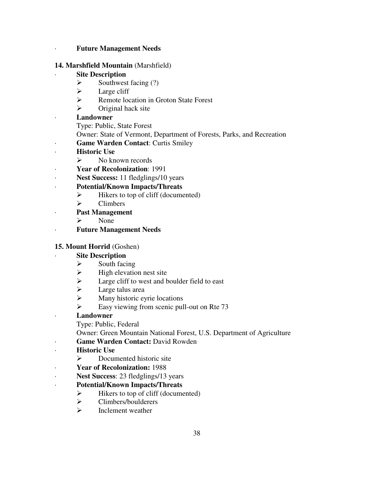#### · **Future Management Needs**

#### **14. Marshfield Mountain** (Marshfield)

### **Site Description**

- $\triangleright$  Southwest facing (?)
- $\triangleright$  Large cliff
- Remote location in Groton State Forest
- $\triangleright$  Original hack site

### · **Landowner**

- Type: Public, State Forest
- Owner: State of Vermont, Department of Forests, Parks, and Recreation
- **Game Warden Contact: Curtis Smiley**
- · **Historic Use** 
	- $\triangleright$  No known records
- · **Year of Recolonization**: 1991
- · **Nest Success:** 11 fledglings/10 years
- · **Potential/Known Impacts/Threats**
	- $\blacktriangleright$  Hikers to top of cliff (documented)
	- $\triangleright$  Climbers
- · **Past Management**
	- $\triangleright$  None
- · **Future Management Needs**

## **15. Mount Horrid** (Goshen)

### **Site Description**

- $\triangleright$  South facing
- $\triangleright$  High elevation nest site<br> $\triangleright$  Large cliff to west and h
- Large cliff to west and boulder field to east
- $\blacktriangleright$  Large talus area
- $\triangleright$  Many historic eyrie locations
- $\triangleright$  Easy viewing from scenic pull-out on Rte 73

### · **Landowner**

- Type: Public, Federal
- Owner: Green Mountain National Forest, U.S. Department of Agriculture
- Game Warden Contact: David Rowden
- · **Historic Use** 
	- $\triangleright$  Documented historic site
	- · **Year of Recolonization:** 1988
- · **Nest Success**: 23 fledglings/13 years
- · **Potential/Known Impacts/Threats**
	- $\triangleright$  Hikers to top of cliff (documented)
	- > Climbers/boulderers
	- $\triangleright$  Inclement weather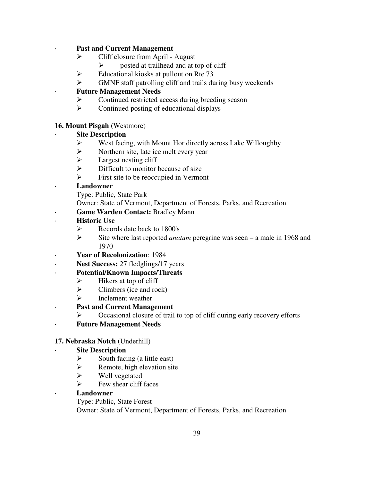Past and Current Management

- $\triangleright$  Cliff closure from April August
	- $\triangleright$  posted at trailhead and at top of cliff
- $\triangleright$  Educational kiosks at pullout on Rte 73
- GMNF staff patrolling cliff and trails during busy weekends

## · **Future Management Needs**

- $\triangleright$  Continued restricted access during breeding season
- $\triangleright$  Continued posting of educational displays

## **16. Mount Pisgah** (Westmore)

## **Site Description**

- West facing, with Mount Hor directly across Lake Willoughby
- $\triangleright$  Northern site, late ice melt every year
- $\triangleright$  Largest nesting cliff
- $\triangleright$  Difficult to monitor because of size
- $\triangleright$  First site to be reoccupied in Vermont

## · **Landowner**

- Type: Public, State Park
- Owner: State of Vermont, Department of Forests, Parks, and Recreation
- **Game Warden Contact: Bradley Mann**
- **Historic Use** 
	- $\triangleright$  Records date back to 1800's
	- Site where last reported *anatum* peregrine was seen a male in 1968 and 1970
- · **Year of Recolonization**: 1984
- Nest Success: 27 fledglings/17 years
- · **Potential/Known Impacts/Threats**
	- $\triangleright$  Hikers at top of cliff
	- $\triangleright$  Climbers (ice and rock)
	- $\triangleright$  Inclement weather
- · **Past and Current Management**
	- $\triangleright$  Occasional closure of trail to top of cliff during early recovery efforts
- · **Future Management Needs**

# **17. Nebraska Notch** (Underhill)

# **Site Description**

- $\triangleright$  South facing (a little east)
- $\triangleright$  Remote, high elevation site
- $\triangleright$  Well vegetated
- $\triangleright$  Few shear cliff faces
- · **Landowner**
	- Type: Public, State Forest

Owner: State of Vermont, Department of Forests, Parks, and Recreation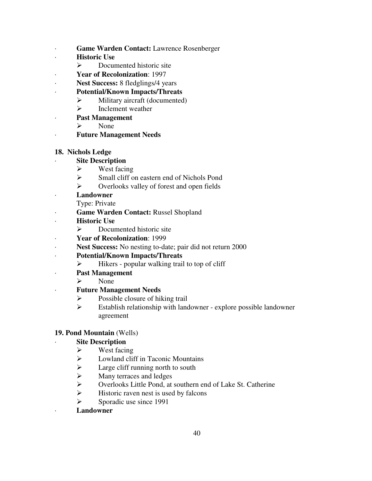- Game Warden Contact: Lawrence Rosenberger
- **Historic Use** 
	- $\triangleright$  Documented historic site
- · **Year of Recolonization**: 1997
- Nest Success: 8 fledglings/4 years
- · **Potential/Known Impacts/Threats**
	- $\triangleright$  Military aircraft (documented)
	- $\triangleright$  Inclement weather
- · **Past Management**
	- $\triangleright$  None
- · **Future Management Needs**

### **18. Nichols Ledge**

### **Site Description**

- $\triangleright$  West facing
- Small cliff on eastern end of Nichols Pond
- $\triangleright$  Overlooks valley of forest and open fields
- · **Landowner**
	- Type: Private
- · **Game Warden Contact:** Russel Shopland
- · **Historic Use** 
	- $\triangleright$  Documented historic site
- · **Year of Recolonization**: 1999
- Nest Success: No nesting to-date; pair did not return 2000
- · **Potential/Known Impacts/Threats**
	- $\triangleright$  Hikers popular walking trail to top of cliff
- · **Past Management**
	- $\triangleright$  None

## · **Future Management Needs**

- $\triangleright$  Possible closure of hiking trail
- $\triangleright$  Establish relationship with landowner explore possible landowner agreement

### **19. Pond Mountain** (Wells)

## **Site Description**

- $\triangleright$  West facing
- $\triangleright$  Lowland cliff in Taconic Mountains
- $\triangleright$  Large cliff running north to south
- $\triangleright$  Many terraces and ledges
- Overlooks Little Pond, at southern end of Lake St. Catherine
- $\triangleright$  Historic raven nest is used by falcons
- $\triangleright$  Sporadic use since 1991

### · **Landowner**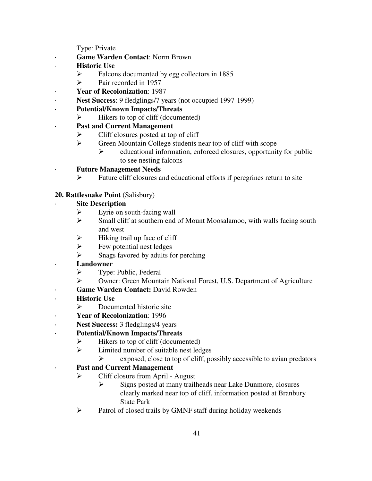Type: Private

- · **Game Warden Contact**: Norm Brown
- · **Historic Use** 
	- $\triangleright$  Falcons documented by egg collectors in 1885
	- $\triangleright$  Pair recorded in 1957
- · **Year of Recolonization**: 1987
- · **Nest Success**: 9 fledglings/7 years (not occupied 1997-1999)
- · **Potential/Known Impacts/Threats**
	- $\triangleright$  Hikers to top of cliff (documented)
- · **Past and Current Management**
	- $\triangleright$  Cliff closures posted at top of cliff
	- Green Mountain College students near top of cliff with scope
		- $\triangleright$  educational information, enforced closures, opportunity for public to see nesting falcons
	- · **Future Management Needs**
		- $\triangleright$  Future cliff closures and educational efforts if peregrines return to site
- **20. Rattlesnake Point** (Salisbury)

## **Site Description**

- $\triangleright$  Eyrie on south-facing wall
- $\triangleright$  Small cliff at southern end of Mount Moosalamoo, with walls facing south and west
- $\triangleright$  Hiking trail up face of cliff
- $\triangleright$  Few potential nest ledges
- $\triangleright$  Snags favored by adults for perching
- · **Landowner**
	- $\triangleright$  Type: Public, Federal
	- Owner: Green Mountain National Forest, U.S. Department of Agriculture
- · **Game Warden Contact:** David Rowden
- **Historic Use** 
	- $\triangleright$  Documented historic site
- · **Year of Recolonization**: 1996
- · **Nest Success:** 3 fledglings/4 years
- · **Potential/Known Impacts/Threats**
	- $\triangleright$  Hikers to top of cliff (documented)
	- $\triangleright$  Limited number of suitable nest ledges
		- $\triangleright$  exposed, close to top of cliff, possibly accessible to avian predators

# **Past and Current Management**

- $\triangleright$  Cliff closure from April August
	- $\triangleright$  Signs posted at many trailheads near Lake Dunmore, closures clearly marked near top of cliff, information posted at Branbury State Park
- $\triangleright$  Patrol of closed trails by GMNF staff during holiday weekends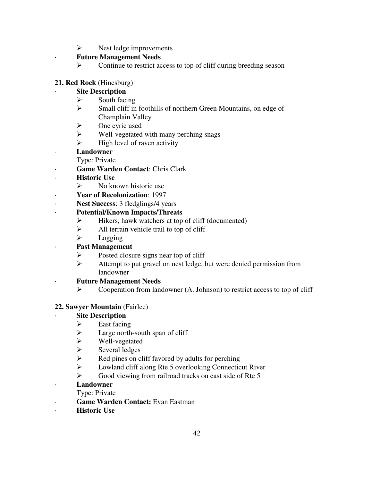$\triangleright$  Nest ledge improvements

## · **Future Management Needs**

 $\triangleright$  Continue to restrict access to top of cliff during breeding season

## **21. Red Rock** (Hinesburg)

## **Site Description**

- $\triangleright$  South facing
- Small cliff in foothills of northern Green Mountains, on edge of Champlain Valley
- $\triangleright$  One eyrie used
- $\triangleright$  Well-vegetated with many perching snags
- $\triangleright$  High level of raven activity
- · **Landowner**
	- Type: Private
- · **Game Warden Contact**: Chris Clark
- · **Historic Use** 
	- $\triangleright$  No known historic use
- · **Year of Recolonization**: 1997
- · **Nest Success**: 3 fledglings/4 years
- · **Potential/Known Impacts/Threats**
	- $\triangleright$  Hikers, hawk watchers at top of cliff (documented)
	- $\triangleright$  All terrain vehicle trail to top of cliff
	- $\triangleright$  Logging

## Past Management

- $\triangleright$  Posted closure signs near top of cliff
- Attempt to put gravel on nest ledge, but were denied permission from landowner
- · **Future Management Needs** 
	- $\triangleright$  Cooperation from landowner (A. Johnson) to restrict access to top of cliff

## **22. Sawyer Mountain** (Fairlee)

## **Site Description**

- $\triangleright$  East facing
- $\triangleright$  Large north-south span of cliff
- Well-vegetated
- $\triangleright$  Several ledges<br> $\triangleright$  Red pines on c
- Red pines on cliff favored by adults for perching
- Lowland cliff along Rte 5 overlooking Connecticut River
- $\triangleright$  Good viewing from railroad tracks on east side of Rte 5

# · **Landowner**

- Type: Private
- · **Game Warden Contact:** Evan Eastman
- · **Historic Use**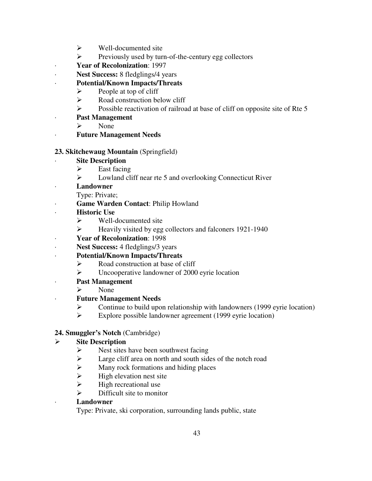- $\triangleright$  Well-documented site
- $\triangleright$  Previously used by turn-of-the-century egg collectors
- · **Year of Recolonization**: 1997
- · **Nest Success:** 8 fledglings/4 years
- · **Potential/Known Impacts/Threats**
	- $\triangleright$  People at top of cliff
	- $\triangleright$  Road construction below cliff
	- $\triangleright$  Possible reactivation of railroad at base of cliff on opposite site of Rte 5
- · **Past Management**
	- $\triangleright$  None
- · **Future Management Needs**

## **23. Skitchewaug Mountain** (Springfield)

## **Site Description**

- $\triangleright$  East facing
- Lowland cliff near rte 5 and overlooking Connecticut River
- · **Landowner**
	- Type: Private;
- **Game Warden Contact: Philip Howland**
- · **Historic Use** 
	- $\triangleright$  Well-documented site
	- Heavily visited by egg collectors and falconers 1921-1940
- · **Year of Recolonization**: 1998
- Nest Success: 4 fledglings/3 years

# · **Potential/Known Impacts/Threats**

- $\triangleright$  Road construction at base of cliff
- Uncooperative landowner of 2000 eyrie location
- · **Past Management**
	- $\triangleright$  None

# · **Future Management Needs**

- Subseminationship with landowners (1999 eyrie location)<br>  $\triangleright$  Explore possible landowner agreement (1999 eyrie location)
- Explore possible landowner agreement (1999 eyrie location)

## **24. Smuggler's Notch** (Cambridge)

# **Site Description**

- $\triangleright$  Nest sites have been southwest facing
- $\triangleright$  Large cliff area on north and south sides of the notch road
- $\triangleright$  Many rock formations and hiding places
- $\triangleright$  High elevation nest site
- $\triangleright$  High recreational use
- $\triangleright$  Difficult site to monitor

## · **Landowner**

Type: Private, ski corporation, surrounding lands public, state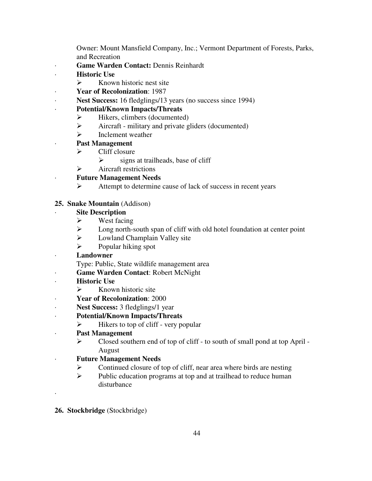Owner: Mount Mansfield Company, Inc.; Vermont Department of Forests, Parks, and Recreation

- · **Game Warden Contact:** Dennis Reinhardt
- · **Historic Use** 
	- $\triangleright$  Known historic nest site
	- · **Year of Recolonization**: 1987
- · **Nest Success:** 16 fledglings/13 years (no success since 1994)

# · **Potential/Known Impacts/Threats**

- $\triangleright$  Hikers, climbers (documented)
- $\triangleright$  Aircraft military and private gliders (documented)
- $\triangleright$  Inclement weather
- · **Past Management**
	- $\triangleright$  Cliff closure
		- $\triangleright$  signs at trailheads, base of cliff
	- $\triangleright$  Aircraft restrictions

# · **Future Management Needs**

 $\triangleright$  Attempt to determine cause of lack of success in recent years

## **25. Snake Mountain** (Addison)

## **Site Description**

- $\triangleright$  West facing
- $\triangleright$  Long north-south span of cliff with old hotel foundation at center point
- $\triangleright$  Lowland Champlain Valley site
- $\triangleright$  Popular hiking spot

# · **Landowner**

Type: Public, State wildlife management area

- Game Warden Contact: Robert McNight
- · **Historic Use** 
	- $\triangleright$  Known historic site
	- · **Year of Recolonization**: 2000
- · **Nest Success:** 3 fledglings/1 year

# · **Potential/Known Impacts/Threats**

- $\triangleright$  Hikers to top of cliff very popular
- · **Past Management**
	- Closed southern end of top of cliff to south of small pond at top April August
- · **Future Management Needs**
	- $\triangleright$  Continued closure of top of cliff, near area where birds are nesting
	- $\triangleright$  Public education programs at top and at trailhead to reduce human disturbance
- **26. Stockbridge** (Stockbridge)

·